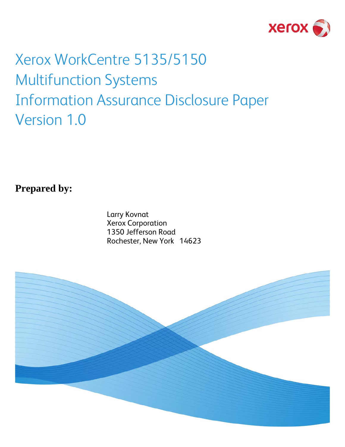

# Xerox WorkCentre 5135/5150 Multifunction Systems Information Assurance Disclosure Paper Version 1.0

**Prepared by:** 

Larry Kovnat Xerox Corporation 1350 Jefferson Road Rochester, New York 14623

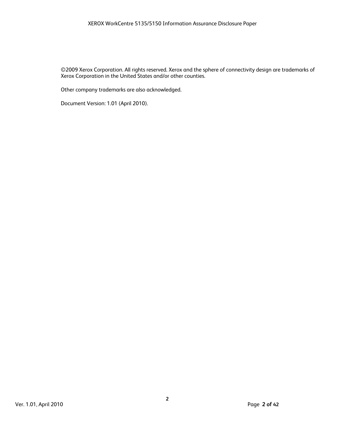©2009 Xerox Corporation. All rights reserved. Xerox and the sphere of connectivity design are trademarks of Xerox Corporation in the United States and/or other counties.

Other company trademarks are also acknowledged.

Document Version: 1.01 (April 2010).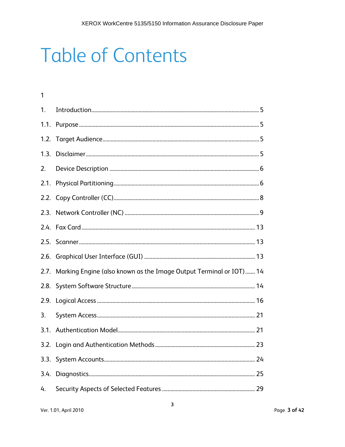# **Table of Contents**

| $\mathbf{1}$ |                                                                         |  |
|--------------|-------------------------------------------------------------------------|--|
| 1.           |                                                                         |  |
|              |                                                                         |  |
|              |                                                                         |  |
| 1.3.         |                                                                         |  |
| 2.           |                                                                         |  |
|              |                                                                         |  |
|              |                                                                         |  |
|              |                                                                         |  |
|              |                                                                         |  |
|              |                                                                         |  |
|              |                                                                         |  |
|              | 2.7. Marking Engine (also known as the Image Output Terminal or IOT) 14 |  |
|              |                                                                         |  |
| 2.9.         |                                                                         |  |
| 3.           |                                                                         |  |
|              |                                                                         |  |
|              |                                                                         |  |
|              |                                                                         |  |
| 3.4.         |                                                                         |  |
| 4.           |                                                                         |  |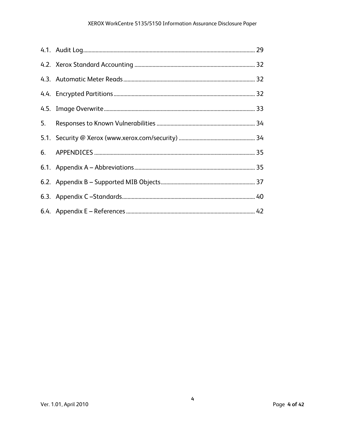### XEROX WorkCentre 5135/5150 Information Assurance Disclosure Paper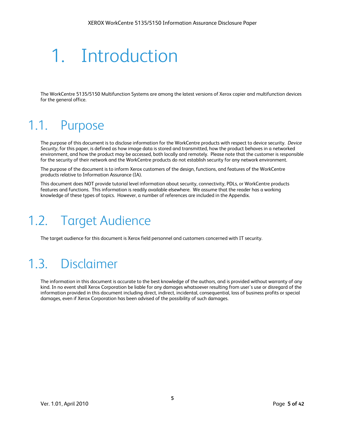# 1. Introduction

The WorkCentre 5135/5150 Multifunction Systems are among the latest versions of Xerox copier and multifunction devices for the general office.

# 1.1. Purpose

The purpose of this document is to disclose information for the WorkCentre products with respect to device security. *Device Security,* for this paper, is defined as how image data is stored and transmitted, how the product behaves in a networked environment, and how the product may be accessed, both locally and remotely. Please note that the customer is responsible for the security of their network and the WorkCentre products do not establish security for any network environment.

The purpose of the document is to inform Xerox customers of the design, functions, and features of the WorkCentre products relative to Information Assurance (IA).

This document does NOT provide tutorial level information about security, connectivity, PDLs, or WorkCentre products features and functions. This information is readily available elsewhere. We assume that the reader has a working knowledge of these types of topics. However, a number of references are included in the Appendix.

# 1.2. Target Audience

The target audience for this document is Xerox field personnel and customers concerned with IT security.

# 1.3. Disclaimer

The information in this document is accurate to the best knowledge of the authors, and is provided without warranty of any kind. In no event shall Xerox Corporation be liable for any damages whatsoever resulting from user's use or disregard of the information provided in this document including direct, indirect, incidental, consequential, loss of business profits or special damages, even if Xerox Corporation has been advised of the possibility of such damages.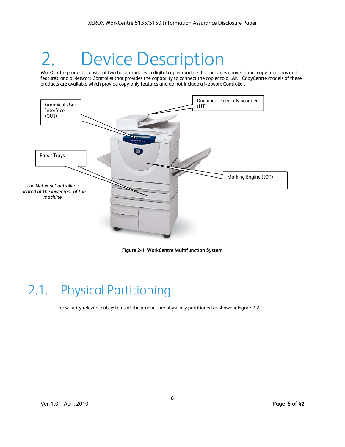# **Device Description**

WorkCentre products consist of two basic modules: a digital copier module that provides conventional copy functions and features, and a Network Controller that provides the capability to connect the copier to a LAN. CopyCentre models of these products are available which provide copy-only features and do not include a Network Controller.



**Figure 2-1 WorkCentre Multifunction System** 

# 2.1. Physical Partitioning

The security-relevant subsystems of the product are physically partitioned as shown inFigure 2-2.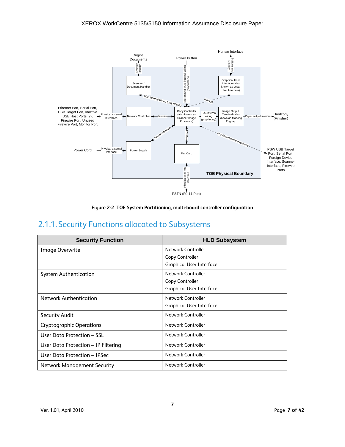



# 2.1.1. Security Functions allocated to Subsystems

| <b>Security Function</b>            | <b>HLD Subsystem</b>            |
|-------------------------------------|---------------------------------|
| Image Overwrite                     | Network Controller              |
|                                     | Copy Controller                 |
|                                     | <b>Graphical User Interface</b> |
| <b>System Authentication</b>        | Network Controller              |
|                                     | Copy Controller                 |
|                                     | <b>Graphical User Interface</b> |
| <b>Network Authentication</b>       | Network Controller              |
|                                     | <b>Graphical User Interface</b> |
| <b>Security Audit</b>               | Network Controller              |
| <b>Cryptographic Operations</b>     | Network Controller              |
| User Data Protection – SSL          | Network Controller              |
| User Data Protection - IP Filtering | Network Controller              |
| User Data Protection - IPSec        | Network Controller              |
| Network Management Security         | Network Controller              |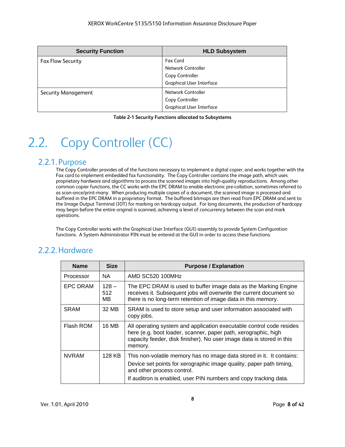| <b>Security Function</b>   | <b>HLD Subsystem</b>            |
|----------------------------|---------------------------------|
| <b>Fax Flow Security</b>   | <b>Fax Card</b>                 |
|                            | Network Controller              |
|                            | Copy Controller                 |
|                            | <b>Graphical User Interface</b> |
| <b>Security Management</b> | Network Controller              |
|                            | Copy Controller                 |
|                            | <b>Graphical User Interface</b> |

**Table 2-1 Security Functions allocated to Subsystems** 

# 2.2. Copy Controller (CC)

### 2.2.1. Purpose

The Copy Controller provides all of the functions necessary to implement a digital copier, and works together with the Fax card to implement embedded fax functionality. The Copy Controller contains the image path, which uses proprietary hardware and algorithms to process the scanned images into high-quality reproductions. Among other common copier functions, the CC works with the EPC DRAM to enable electronic pre-collation, sometimes referred to as scan-once/print-many. When producing multiple copies of a document, the scanned image is processed and buffered in the EPC DRAM in a proprietary format. The buffered bitmaps are then read from EPC DRAM and sent to the Image Output Terminal (IOT) for marking on hardcopy output. For long documents, the production of hardcopy may begin before the entire original is scanned, achieving a level of concurrency between the scan and mark operations.

The Copy Controller works with the Graphical User Interface (GUI) assembly to provide System Configuration functions. A System Administrator PIN must be entered at the GUI in order to access these functions.

# 2.2.2.Hardware

| <b>Name</b>     | <b>Size</b>           | <b>Purpose / Explanation</b>                                                                                                                                                                                               |
|-----------------|-----------------------|----------------------------------------------------------------------------------------------------------------------------------------------------------------------------------------------------------------------------|
| Processor       | NA.                   | AMD SC520 100MHz                                                                                                                                                                                                           |
| <b>EPC DRAM</b> | $128 -$<br>512<br>MB. | The EPC DRAM is used to buffer image data as the Marking Engine<br>receives it. Subsequent jobs will overwrite the current document so<br>there is no long-term retention of image data in this memory.                    |
| <b>SRAM</b>     | 32 MB                 | SRAM is used to store setup and user information associated with<br>copy jobs.                                                                                                                                             |
| Flash ROM       | 16 MB                 | All operating system and application executable control code resides<br>here (e.g. boot loader, scanner, paper path, xerographic, high<br>capacity feeder, disk finisher). No user image data is stored in this<br>memory. |
| <b>NVRAM</b>    | 128 KB                | This non-volatile memory has no image data stored in it. It contains:                                                                                                                                                      |
|                 |                       | Device set points for xerographic image quality, paper path timing,<br>and other process control.                                                                                                                          |
|                 |                       | If auditron is enabled, user PIN numbers and copy tracking data.                                                                                                                                                           |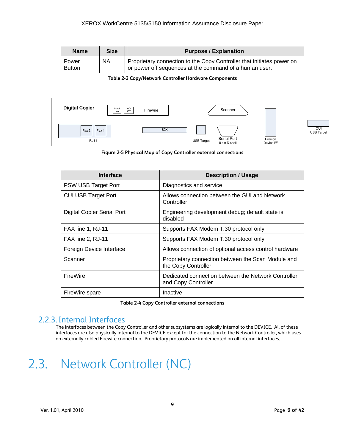| <b>Name</b>            | <b>Size</b> | <b>Purpose / Explanation</b>                                                                                                    |
|------------------------|-------------|---------------------------------------------------------------------------------------------------------------------------------|
| Power<br><b>Button</b> | <b>NA</b>   | Proprietary connection to the Copy Controller that initiates power on<br>or power off sequences at the command of a human user. |

#### **Table 2-2 Copy/Network Controller Hardware Components**



**Figure 2-5 Physical Map of Copy Controller external connections** 

| Interface                         | <b>Description / Usage</b>                                                  |
|-----------------------------------|-----------------------------------------------------------------------------|
| PSW USB Target Port               | Diagnostics and service                                                     |
| <b>CUI USB Target Port</b>        | Allows connection between the GUI and Network<br>Controller                 |
| <b>Digital Copier Serial Port</b> | Engineering development debug; default state is<br>disabled                 |
| FAX line 1, RJ-11                 | Supports FAX Modem T.30 protocol only                                       |
| FAX line 2, RJ-11                 | Supports FAX Modem T.30 protocol only                                       |
| Foreign Device Interface          | Allows connection of optional access control hardware                       |
| Scanner                           | Proprietary connection between the Scan Module and<br>the Copy Controller   |
| FireWire                          | Dedicated connection between the Network Controller<br>and Copy Controller. |
| FireWire spare                    | Inactive                                                                    |

**Table 2-4 Copy Controller external connections** 

### 2.2.3.Internal Interfaces

The interfaces between the Copy Controller and other subsystems are logically internal to the DEVICE. All of these interfaces are also physically internal to the DEVICE except for the connection to the Network Controller, which uses an externally-cabled Firewire connection. Proprietary protocols are implemented on all internal interfaces.

# 2.3. Network Controller (NC)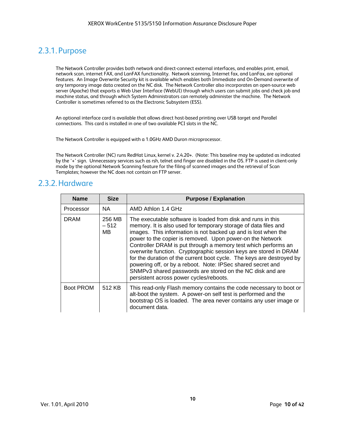# 2.3.1. Purpose

The Network Controller provides both network and direct-connect external interfaces, and enables print, email, network scan, internet FAX, and LanFAX functionality. Network scanning, Internet fax, and LanFax, are optional features. An Image Overwrite Security kit is available which enables both Immediate and On-Demand overwrite of any temporary image data created on the NC disk. The Network Controller also incorporates an open-source web server (Apache) that exports a Web User Interface (WebUI) through which users can submit jobs and check job and machine status, and through which System Administrators can remotely administer the machine. The Network Controller is sometimes referred to as the Electronic Subsystem (ESS).

An optional interface card is available that allows direct host-based printing over USB target and Parallel connections. This card is installed in one of two available PCI slots in the NC.

The Network Controller is equipped with a 1.0GHz AMD Duron microprocessor.

The Network Controller (NC) runs RedHat Linux, kernel v. 2.4.20+. (Note: This baseline may be updated as indicated by the '+' sign. Unnecessary services such as rsh, telnet and finger are disabled in the OS. FTP is used in client-only mode by the optional Network Scanning feature for the filing of scanned images and the retrieval of Scan Templates; however the NC does not contain an FTP server.

### 2.3.2.Hardware

| <b>Name</b>      | <b>Size</b>             | <b>Purpose / Explanation</b>                                                                                                                                                                                                                                                                                                                                                                                                                                                                                                                                                                                                                          |
|------------------|-------------------------|-------------------------------------------------------------------------------------------------------------------------------------------------------------------------------------------------------------------------------------------------------------------------------------------------------------------------------------------------------------------------------------------------------------------------------------------------------------------------------------------------------------------------------------------------------------------------------------------------------------------------------------------------------|
| Processor        | NA.                     | AMD Athlon 1.4 GHz                                                                                                                                                                                                                                                                                                                                                                                                                                                                                                                                                                                                                                    |
| <b>DRAM</b>      | 256 MB<br>$-512$<br>MB. | The executable software is loaded from disk and runs in this<br>memory. It is also used for temporary storage of data files and<br>images. This information is not backed up and is lost when the<br>power to the copier is removed. Upon power-on the Network<br>Controller DRAM is put through a memory test which performs an<br>overwrite function. Cryptographic session keys are stored in DRAM<br>for the duration of the current boot cycle. The keys are destroyed by<br>powering off, or by a reboot. Note: IPSec shared secret and<br>SNMPv3 shared passwords are stored on the NC disk and are<br>persistent across power cycles/reboots. |
| <b>Boot PROM</b> | 512 KB                  | This read-only Flash memory contains the code necessary to boot or<br>alt-boot the system. A power-on self test is performed and the<br>bootstrap OS is loaded. The area never contains any user image or<br>document data.                                                                                                                                                                                                                                                                                                                                                                                                                           |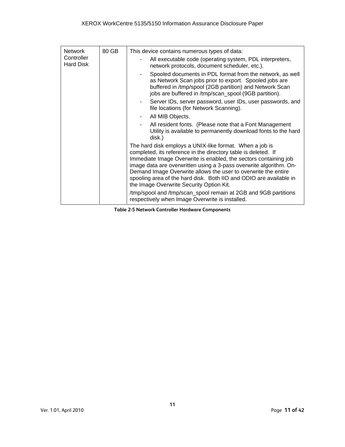| <b>Network</b>          | 80 GB | This device contains numerous types of data:                                                                                                                                                                                                                                                                                                                                                                                                            |
|-------------------------|-------|---------------------------------------------------------------------------------------------------------------------------------------------------------------------------------------------------------------------------------------------------------------------------------------------------------------------------------------------------------------------------------------------------------------------------------------------------------|
| Controller<br>Hard Disk |       | All executable code (operating system, PDL interpreters,<br>network protocols, document scheduler, etc.).                                                                                                                                                                                                                                                                                                                                               |
|                         |       | Spooled documents in PDL format from the network, as well<br>as Network Scan jobs prior to export. Spooled jobs are<br>buffered in /tmp/spool (2GB partition) and Network Scan<br>jobs are buffered in /tmp/scan_spool (9GB partition).                                                                                                                                                                                                                 |
|                         |       | Server IDs, server password, user IDs, user passwords, and<br>file locations (for Network Scanning).                                                                                                                                                                                                                                                                                                                                                    |
|                         |       | All MIB Objects.                                                                                                                                                                                                                                                                                                                                                                                                                                        |
|                         |       | All resident fonts. (Please note that a Font Management<br>Utility is available to permanently download fonts to the hard<br>disk.)                                                                                                                                                                                                                                                                                                                     |
|                         |       | The hard disk employs a UNIX-like format. When a job is<br>completed, its reference in the directory table is deleted. If<br>Immediate Image Overwrite is enabled, the sectors containing job<br>image data are overwritten using a 3-pass overwrite algorithm. On-<br>Demand Image Overwrite allows the user to overwrite the entire<br>spooling area of the hard disk. Both IIO and ODIO are available in<br>the Image Overwrite Security Option Kit. |
|                         |       | /tmp/spool and /tmp/scan_spool remain at 2GB and 9GB partitions<br>respectively when Image Overwrite is installed.                                                                                                                                                                                                                                                                                                                                      |

**Table 2-5 Network Controller Hardware Components**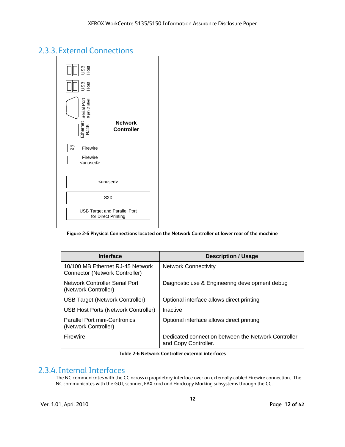# 2.3.3. External Connections



**Figure 2-6 Physical Connections located on the Network Controller at lower rear of the machine** 

| Interface                                                                 | <b>Description / Usage</b>                                                  |
|---------------------------------------------------------------------------|-----------------------------------------------------------------------------|
| 10/100 MB Ethernet RJ-45 Network<br><b>Connector (Network Controller)</b> | <b>Network Connectivity</b>                                                 |
| Network Controller Serial Port<br>(Network Controller)                    | Diagnostic use & Engineering development debug                              |
| <b>USB Target (Network Controller)</b>                                    | Optional interface allows direct printing                                   |
| USB Host Ports (Network Controller)                                       | Inactive                                                                    |
| <b>Parallel Port mini-Centronics</b><br>(Network Controller)              | Optional interface allows direct printing                                   |
| FireWire                                                                  | Dedicated connection between the Network Controller<br>and Copy Controller. |

**Table 2-6 Network Controller external interfaces** 

### 2.3.4.Internal Interfaces

The NC communicates with the CC across a proprietary interface over an externally-cabled Firewire connection. The NC communicates with the GUI, scanner, FAX card and Hardcopy Marking subsystems through the CC.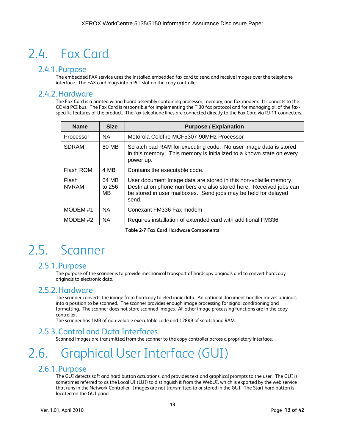# 2.4. Fax Card

### 2.4.1. Purpose

The embedded FAX service uses the installed embedded fax card to send and receive images over the telephone interface. The FAX card plugs into a PCI slot on the copy controller.

### 2.4.2.Hardware

The Fax Card is a printed wiring board assembly containing processor, memory, and fax modem. It connects to the CC via PCI bus. The Fax Card is responsible for implementing the T.30 fax protocol and for managing all of the faxspecific features of the product. The fax telephone lines are connected directly to the Fax Card via RJ-11 connectors.

| <b>Name</b>           | <b>Size</b>            | <b>Purpose / Explanation</b>                                                                                                                                                                                     |
|-----------------------|------------------------|------------------------------------------------------------------------------------------------------------------------------------------------------------------------------------------------------------------|
| Processor             | <b>NA</b>              | Motorola Coldfire MCF5307-90MHz Processor                                                                                                                                                                        |
| <b>SDRAM</b>          | 80 MB                  | Scratch pad RAM for executing code. No user image data is stored<br>in this memory. This memory is initialized to a known state on every<br>power up.                                                            |
| Flash ROM             | 4 MB                   | Contains the executable code.                                                                                                                                                                                    |
| Flash<br><b>NVRAM</b> | 64 MB<br>to 256<br>MB. | User document Image data are stored in this non-volatile memory.<br>Destination phone numbers are also stored here. Received jobs can<br>be stored in user mailboxes. Send jobs may be held for delayed<br>send. |
| MODEM #1              | <b>NA</b>              | Conexant FM336 Fax modem                                                                                                                                                                                         |
| MODEM #2              | <b>NA</b>              | Requires installation of extended card with additional FM336                                                                                                                                                     |

**Table 2-7 Fax Card Hardware Components** 

# 2.5. Scanner

### 2.5.1. Purpose

The purpose of the scanner is to provide mechanical transport of hardcopy originals and to convert hardcopy originals to electronic data.

### 2.5.2.Hardware

The scanner converts the image from hardcopy to electronic data. An optional document handler moves originals into a position to be scanned. The scanner provides enough image processing for signal conditioning and formatting. The scanner does not store scanned images. All other image processing functions are in the copy controller.

The scanner has 1MB of non-volatile executable code and 128KB of scratchpad RAM.

### 2.5.3.Control and Data Interfaces

Scanned images are transmitted from the scanner to the copy controller across a proprietary interface.

# 2.6. Graphical User Interface (GUI)

### 2.6.1. Purpose

The GUI detects soft and hard button actuations, and provides text and graphical prompts to the user. The GUI is sometimes referred to as the Local UI (LUI) to distinguish it from the WebUI, which is exported by the web service that runs in the Network Controller. Images are not transmitted to or stored in the GUI. The Start hard button is located on the GUI panel.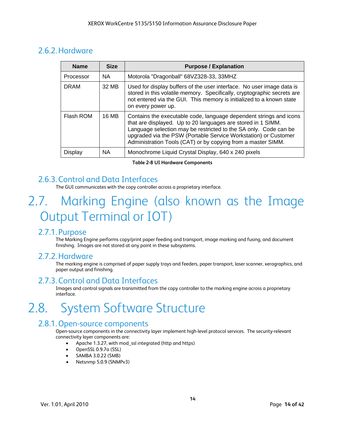# 2.6.2.Hardware

| <b>Name</b> | <b>Size</b> | <b>Purpose / Explanation</b>                                                                                                                                                                                                                                                                                                              |
|-------------|-------------|-------------------------------------------------------------------------------------------------------------------------------------------------------------------------------------------------------------------------------------------------------------------------------------------------------------------------------------------|
| Processor   | <b>NA</b>   | Motorola "Dragonball" 68VZ328-33, 33MHZ                                                                                                                                                                                                                                                                                                   |
| <b>DRAM</b> | 32 MB       | Used for display buffers of the user interface. No user image data is<br>stored in this volatile memory. Specifically, cryptographic secrets are<br>not entered via the GUI. This memory is initialized to a known state<br>on every power up.                                                                                            |
| Flash ROM   | 16 MB       | Contains the executable code, language dependent strings and icons<br>that are displayed. Up to 20 languages are stored in 1 SIMM.<br>Language selection may be restricted to the SA only. Code can be<br>upgraded via the PSW (Portable Service Workstation) or Customer<br>Administration Tools (CAT) or by copying from a master SIMM. |
| Display     | <b>NA</b>   | Monochrome Liquid Crystal Display, 640 x 240 pixels                                                                                                                                                                                                                                                                                       |

**Table 2-8 UI Hardware Components** 

# 2.6.3.Control and Data Interfaces

The GUI communicates with the copy controller across a proprietary interface.

# 2.7. Marking Engine (also known as the Image Output Terminal or IOT)

### 2.7.1. Purpose

The Marking Engine performs copy/print paper feeding and transport, image marking and fusing, and document finishing. Images are not stored at any point in these subsystems.

### 2.7.2.Hardware

The marking engine is comprised of paper supply trays and feeders, paper transport, laser scanner, xerographics, and paper output and finishing.

### 2.7.3.Control and Data Interfaces

Images and control signals are transmitted from the copy controller to the marking engine across a proprietary interface.

# 2.8. System Software Structure

### 2.8.1.Open-source components

Open-source components in the connectivity layer implement high-level protocol services. The security-relevant connectivity layer components are:

- Apache 1.3.27, with mod\_ssl integrated (http and https)
- OpenSSL 0.9.7a (SSL)
- SAMBA 3.0.22 (SMB)
- Netsnmp 5.0.9 (SNMPv3)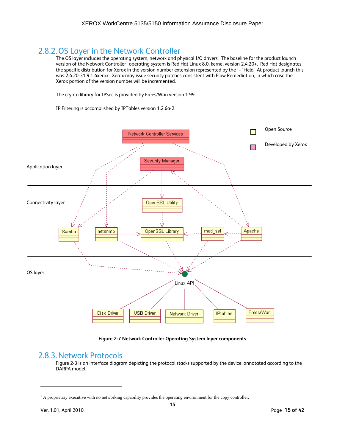## 2.8.2.OS Layer in the Network Controller

The OS layer includes the operating system, network and physical I/O drivers. The baseline for the product launch version of the Network Controller<sup>1</sup> operating system is Red Hat Linux 8.0, kernel version 2.4.20+. Red Hat designates the specific distribution for Xerox in the version number extension represented by the '+' field. At product launch this was 2.4.20-31.9.1.4xerox. Xerox may issue security patches consistent with Flaw Remediation, in which case the Xerox portion of the version number will be incremented.

The crypto library for IPSec is provided by Frees/Wan version 1.99.

IP Filtering is accomplished by IPTables version 1.2.6a-2.



**Figure 2-7 Network Controller Operating System layer components** 

#### 2.8.3.Network Protocols

Figure 2-3 is an interface diagram depicting the protocol stacks supported by the device, annotated according to the DARPA model.

 $\overline{a}$ 

<sup>&</sup>lt;sup>1</sup> A proprietary executive with no networking capability provides the operating environment for the copy controller.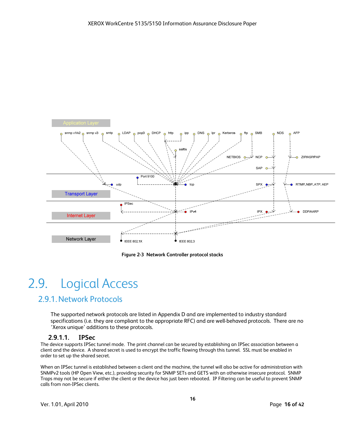

**Figure 2-3 Network Controller protocol stacks** 

# 2.9. Logical Access

### 2.9.1.Network Protocols

The supported network protocols are listed in Appendix D and are implemented to industry standard specifications (i.e. they are compliant to the appropriate RFC) and are well-behaved protocols. There are no 'Xerox unique' additions to these protocols.

#### **2.9.1.1. IPSec**

The device supports IPSec tunnel mode. The print channel can be secured by establishing an IPSec association between a client and the device. A shared secret is used to encrypt the traffic flowing through this tunnel. SSL must be enabled in order to set up the shared secret.

When an IPSec tunnel is established between a client and the machine, the tunnel will also be active for administration with SNMPv2 tools (HP Open View, etc.), providing security for SNMP SETs and GETS with an otherwise insecure protocol. SNMP Traps may not be secure if either the client or the device has just been rebooted. IP Filtering can be useful to prevent SNMP calls from non-IPSec clients.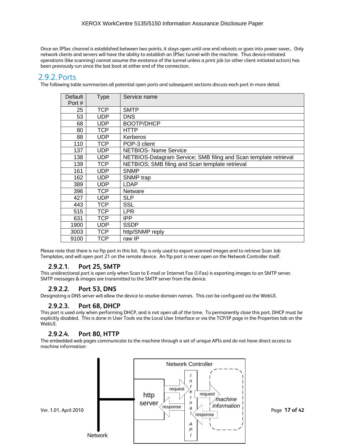Once an IPSec channel is established between two points, it stays open until one end reboots or goes into power saver,. Only network clients and servers will have the ability to establish an IPSec tunnel with the machine. Thus device-initiated operations (like scanning) cannot assume the existence of the tunnel unless a print job (or other client initiated action) has been previously run since the last boot at either end of the connection.

### 2.9.2. Ports

The following table summarizes all potential open ports and subsequent sections discuss each port in more detail.

| Default | <b>Type</b> | Service name                                                     |
|---------|-------------|------------------------------------------------------------------|
| Port #  |             |                                                                  |
| 25      | <b>TCP</b>  | <b>SMTP</b>                                                      |
| 53      | <b>UDP</b>  | <b>DNS</b>                                                       |
| 68      | <b>UDP</b>  | BOOTP/DHCP                                                       |
| 80      | TCP.        | <b>HTTP</b>                                                      |
| 88      | <b>UDP</b>  | <b>Kerberos</b>                                                  |
| 110     | TCP         | POP-3 client                                                     |
| 137     | UDP         | <b>NETBIOS- Name Service</b>                                     |
| 138     | UDP         | NETBIOS-Datagram Service; SMB filing and Scan template retrieval |
| 139     | TCP         | NETBIOS; SMB filing and Scan template retrieval                  |
| 161     | <b>UDP</b>  | <b>SNMP</b>                                                      |
| 162     | <b>UDP</b>  | SNMP trap                                                        |
| 389     | <b>UDP</b>  | <b>LDAP</b>                                                      |
| 396     | TCP         | <b>Netware</b>                                                   |
| 427     | UDP         | <b>SLP</b>                                                       |
| 443     | <b>TCP</b>  | SSL                                                              |
| 515     | TCP         | <b>LPR</b>                                                       |
| 631     | TCP         | IPP                                                              |
| 1900    | UDP         | <b>SSDP</b>                                                      |
| 3003    | TCP         | http/SNMP reply                                                  |
| 9100    | TCP         | raw IP                                                           |

Please note that there is no ftp port in this list. ftp is only used to export scanned images and to retrieve Scan Job Templates, and will open port 21 on the remote device. An ftp port is never open on the Network Controller itself.

#### **2.9.2.1. Port 25, SMTP**

This unidirectional port is open only when Scan to E-mail or Internet Fax (I-Fax) is exporting images to an SMTP server. SMTP messages & images are transmitted to the SMTP server from the device.

#### **2.9.2.2. Port 53, DNS**

Designating a DNS server will allow the device to resolve domain names. This can be configured via the WebUI.

#### **2.9.2.3. Port 68, DHCP**

This port is used only when performing DHCP, and is not open all of the time. To permanently close this port, DHCP must be explicitly disabled. This is done in User Tools via the Local User Interface or via the TCP/IP page in the Properties tab on the WebUI.

#### **2.9.2.4. Port 80, HTTP**

The embedded web pages communicate to the machine through a set of unique APIs and do not have direct access to machine information:

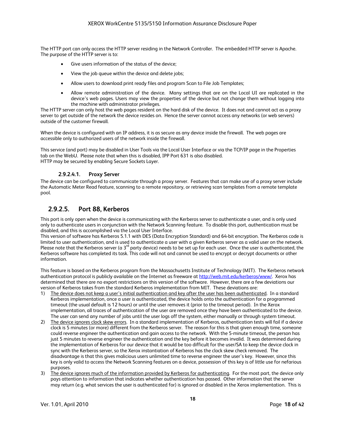The HTTP port can only access the HTTP server residing in the Network Controller. The embedded HTTP server is Apache. The purpose of the HTTP server is to:

- Give users information of the status of the device:
- View the job queue within the device and delete jobs;
- Allow users to download print ready files and program Scan to File Job Templates;
- Allow remote administration of the device. Many settings that are on the Local UI are replicated in the device's web pages. Users may view the properties of the device but not change them without logging into the machine with administrator privileges.

The HTTP server can only host the web pages resident on the hard disk of the device. It does not and cannot act as a proxy server to get outside of the network the device resides on. Hence the server cannot access any networks (or web servers) outside of the customer firewall.

When the device is configured with an IP address, it is as secure as any device inside the firewall. The web pages are accessible only to authorized users of the network inside the firewall.

This service (and port) may be disabled in User Tools via the Local User Interface or via the TCP/IP page in the Properties tab on the WebU. Please note that when this is disabled, IPP Port 631 is also disabled. HTTP may be secured by enabling Secure Sockets Layer.

#### **2.9.2.4.1. Proxy Server**

The device can be configured to communicate through a proxy server. Features that can make use of a proxy server include the Automatic Meter Read feature, scanning to a remote repository, or retrieving scan templates from a remote template pool.

#### **2.9.2.5. Port 88, Kerberos**

This port is only open when the device is communicating with the Kerberos server to authenticate a user, and is only used only to authenticate users in conjunction with the Network Scanning feature. To disable this port, authentication must be disabled, and this is accomplished via the Local User Interface.

This version of software has Kerberos 5.1.1 with DES (Data Encryption Standard) and 64-bit encryption. The Kerberos code is limited to user authentication, and is used to authenticate a user with a given Kerberos server as a valid user on the network. Please note that the Kerberos server (a  $3^{rd}$  party device) needs to be set up for each user. Once the user is authenticated, the Kerberos software has completed its task. This code will not and cannot be used to encrypt or decrypt documents or other information.

This feature is based on the Kerberos program from the Massachusetts Institute of Technology (MIT). The Kerberos network authentication protocol is publicly available on the Internet as freeware at http://web.mit.edu/kerberos/www/. Xerox has determined that there are no export restrictions on this version of the software. However, there are a few deviations our version of Kerberos takes from the standard Kerberos implementation from MIT. These deviations are:

- 1) The device does not keep a user's initial authentication and key after the user has been authenticated. In a standard Kerberos implementation, once a user is authenticated, the device holds onto the authentication for a programmed timeout (the usual default is 12 hours) or until the user removes it (prior to the timeout period). In the Xerox implementation, all traces of authentication of the user are removed once they have been authenticated to the device. The user can send any number of jobs until the user logs off the system, either manually or through system timeout.
- 2) The device ignores clock skew errors. In a standard implementation of Kerberos, authentication tests will fail if a device clock is 5 minutes (or more) different from the Kerberos server. The reason for this is that given enough time, someone could reverse engineer the authentication and gain access to the network. With the 5-minute timeout, the person has just 5 minutes to reverse engineer the authentication and the key before it becomes invalid. It was determined during the implementation of Kerberos for our device that it would be too difficult for the user/SA to keep the device clock in sync with the Kerberos server, so the Xerox instantiation of Kerberos has the clock skew check removed. The disadvantage is that this gives malicious users unlimited time to reverse engineer the user's key. However, since this key is only valid to access the Network Scanning features on a device, possession of this key is of little use for nefarious purposes.
- 3) The device ignores much of the information provided by Kerberos for authenticating. For the most part, the device only pays attention to information that indicates whether authentication has passed. Other information that the server may return (e.g. what services the user is authenticated for) is ignored or disabled in the Xerox implementation. This is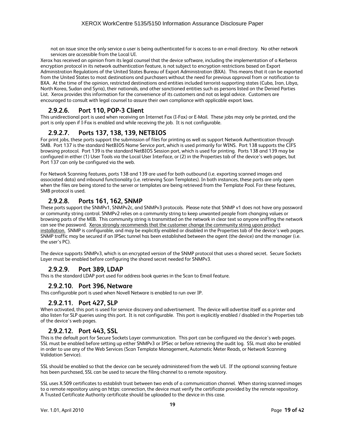not an issue since the only service a user is being authenticated for is access to an e-mail directory. No other network services are accessible from the Local UI.

Xerox has received an opinion from its legal counsel that the device software, including the implementation of a Kerberos encryption protocol in its network authentication feature, is not subject to encryption restrictions based on Export Administration Regulations of the United States Bureau of Export Administration (BXA). This means that it can be exported from the United States to most destinations and purchasers without the need for previous approval from or notification to BXA. At the time of the opinion, restricted destinations and entities included terrorist-supporting states (Cuba, Iran, Libya, North Korea, Sudan and Syria), their nationals, and other sanctioned entities such as persons listed on the Denied Parties List. Xerox provides this information for the convenience of its customers and not as legal advice. Customers are encouraged to consult with legal counsel to assure their own compliance with applicable export laws.

#### **2.9.2.6. Port 110, POP-3 Client**

This unidirectional port is used when receiving an Internet Fax (I-Fax) or E-Mail. These jobs may only be printed, and the port is only open if I-Fax is enabled and while receiving the job. It is not configurable.

#### **2.9.2.7. Ports 137, 138, 139, NETBIOS**

For print jobs, these ports support the submission of files for printing as well as support Network Authentication through SMB. Port 137 is the standard NetBIOS Name Service port, which is used primarily for WINS. Port 138 supports the CIFS browsing protocol. Port 139 is the standard NetBIOS Session port, which is used for printing. Ports 138 and 139 may be configured in either (1) User Tools via the Local User Interface, or (2) in the Properties tab of the device's web pages, but Port 137 can only be configured via the web.

For Network Scanning features, ports 138 and 139 are used for both outbound (i.e. exporting scanned images and associated data) and inbound functionality (i.e. retrieving Scan Templates). In both instances, these ports are only open when the files are being stored to the server or templates are being retrieved from the Template Pool. For these features, SMB protocol is used.

#### **2.9.2.8. Ports 161, 162, SNMP**

These ports support the SNMPv1, SNMPv2c, and SNMPv3 protocols. Please note that SNMP v1 does not have any password or community string control. SNMPv2 relies on a community string to keep unwanted people from changing values or browsing parts of the MIB. This community string is transmitted on the network in clear text so anyone sniffing the network can see the password. Xerox strongly recommends that the customer change the community string upon product installation. SNMP is configurable, and may be explicitly enabled or disabled in the Properties tab of the device's web pages. SNMP traffic may be secured if an IPSec tunnel has been established between the agent (the device) and the manager (i.e. the user's PC).

The device supports SNMPv3, which is an encrypted version of the SNMP protocol that uses a shared secret. Secure Sockets Layer must be enabled before configuring the shared secret needed for SNMPv3.

#### **2.9.2.9. Port 389, LDAP**

This is the standard LDAP port used for address book queries in the Scan to Email feature.

#### **2.9.2.10. Port 396, Netware**

This configurable port is used when Novell Netware is enabled to run over IP.

#### **2.9.2.11. Port 427, SLP**

When activated, this port is used for service discovery and advertisement. The device will advertise itself as a printer and also listen for SLP queries using this port. It is not configurable. This port is explicitly enabled / disabled in the Properties tab of the device's web pages.

#### **2.9.2.12. Port 443, SSL**

This is the default port for Secure Sockets Layer communication. This port can be configured via the device's web pages. SSL must be enabled before setting up either SNMPv3 or IPSec or before retrieving the audit log. SSL must also be enabled in order to use any of the Web Services (Scan Template Management, Automatic Meter Reads, or Network Scanning Validation Service).

SSL should be enabled so that the device can be securely administered from the web UI. If the optional scanning feature has been purchased, SSL can be used to secure the filing channel to a remote repository.

SSL uses X.509 certificates to establish trust between two ends of a communication channel. When storing scanned images to a remote repository using an https: connection, the device must verify the certificate provided by the remote repository. A Trusted Certificate Authority certificate should be uploaded to the device in this case.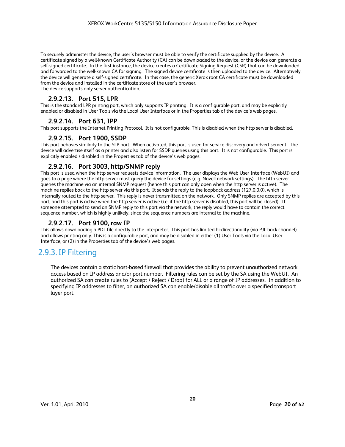To securely administer the device, the user's browser must be able to verify the certificate supplied by the device. A certificate signed by a well-known Certificate Authority (CA) can be downloaded to the device, or the device can generate a self-signed certificate. In the first instance, the device creates a Certificate Signing Request (CSR) that can be downloaded and forwarded to the well-known CA for signing. The signed device certificate is then uploaded to the device. Alternatively, the device will generate a self-signed certificate. In this case, the generic Xerox root CA certificate must be downloaded from the device and installed in the certificate store of the user's browser. The device supports only server authentication.

#### **2.9.2.13. Port 515, LPR**

This is the standard LPR printing port, which only supports IP printing. It is a configurable port, and may be explicitly enabled or disabled in User Tools via the Local User Interface or in the Properties tab of the device's web pages.

#### **2.9.2.14. Port 631, IPP**

This port supports the Internet Printing Protocol. It is not configurable. This is disabled when the http server is disabled.

#### **2.9.2.15. Port 1900, SSDP**

This port behaves similarly to the SLP port. When activated, this port is used for service discovery and advertisement. The device will advertise itself as a printer and also listen for SSDP queries using this port. It is not configurable. This port is explicitly enabled / disabled in the Properties tab of the device's web pages.

#### **2.9.2.16. Port 3003, http/SNMP reply**

This port is used when the http server requests device information. The user displays the Web User Interface (WebUI) and goes to a page where the http server must query the device for settings (e.g. Novell network settings). The http server queries the machine via an internal SNMP request (hence this port can only open when the http server is active). The machine replies back to the http server via this port. It sends the reply to the loopback address (127.0.0.0), which is internally routed to the http server. This reply is never transmitted on the network. Only SNMP replies are accepted by this port, and this port is active when the http server is active (i.e. if the http server is disabled, this port will be closed). If someone attempted to send an SNMP reply to this port via the network, the reply would have to contain the correct sequence number, which is highly unlikely, since the sequence numbers are internal to the machine.

#### **2.9.2.17. Port 9100, raw IP**

This allows downloading a PDL file directly to the interpreter. This port has limited bi-directionality (via PJL back channel) and allows printing only. This is a configurable port, and may be disabled in either (1) User Tools via the Local User Interface, or (2) in the Properties tab of the device's web pages.

## 2.9.3.IP Filtering

The devices contain a static host-based firewall that provides the ability to prevent unauthorized network access based on IP address and/or port number. Filtering rules can be set by the SA using the WebUI. An authorized SA can create rules to (Accept / Reject / Drop) for ALL or a range of IP addresses. In addition to specifying IP addresses to filter, an authorized SA can enable/disable all traffic over a specified transport layer port.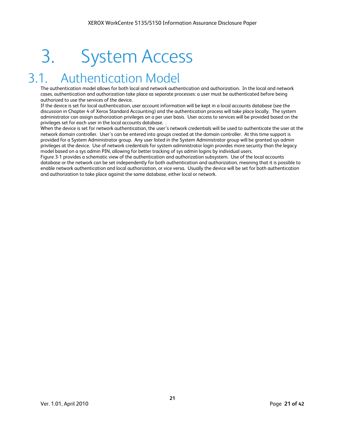# 3. System Access

# Authentication Model

The authentication model allows for both local and network authentication and authorization. In the local and network cases, authentication and authorization take place as separate processes: a user must be authenticated before being authorized to use the services of the device.

If the device is set for local authentication, user account information will be kept in a local accounts database (see the discussion in Chapter 4 of Xerox Standard Accounting) and the authentication process will take place locally. The system administrator can assign authorization privileges on a per user basis. User access to services will be provided based on the privileges set for each user in the local accounts database. .

When the device is set for network authentication, the user's network credentials will be used to authenticate the user at the network domain controller. User's can be entered into groups created at the domain controller. At this time support is provided for a System Administrator group. Any user listed in the System Administrator group will be granted sys admin privileges at the device. Use of network credentials for system administrator login provides more security than the legacy model based on a sys admin PIN, allowing for better tracking of sys admin logins by individual users.

Figure 3-1 provides a schematic view of the authentication and authorization subsystem. Use of the local accounts database or the network can be set independently for both authentication and authorization, meaning that it is possible to enable network authentication and local authorization, or vice versa. Usually the device will be set for both authentication and authorization to take place against the same database, either local or network.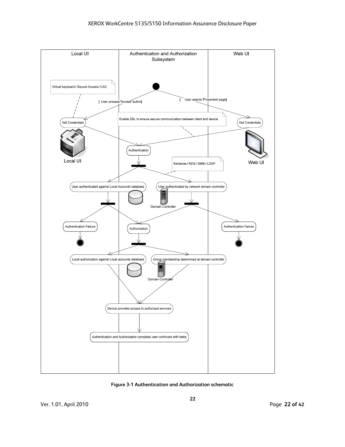

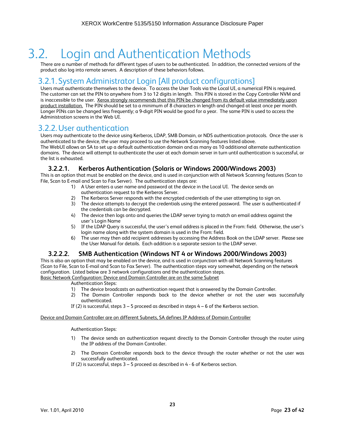# 3.2. Login and Authentication Methods

There are a number of methods for different types of users to be authenticated. In addition, the connected versions of the product also log into remote servers. A description of these behaviors follows.

### 3.2.1. System Administrator Login [All product configurations]

Users must authenticate themselves to the device. To access the User Tools via the Local UI, a numerical PIN is required. The customer can set the PIN to anywhere from 3 to 12 digits in length. This PIN is stored in the Copy Controller NVM and is inaccessible to the user. Xerox strongly recommends that this PIN be changed from its default value immediately upon product installation. The PIN should be set to a minimum of 8 characters in length and changed at least once per month. Longer PINs can be changed less frequently; a 9-digit PIN would be good for a year. The same PIN is used to access the Administration screens in the Web UI.

### 3.2.2.User authentication

Users may authenticate to the device using Kerberos, LDAP, SMB Domain, or NDS authentication protocols. Once the user is authenticated to the device, the user may proceed to use the Network Scanning features listed above.

The WebUI allows an SA to set up a default authentication domain and as many as 10 additional alternate authentication domains. The device will attempt to authenticate the user at each domain server in turn until authentication is successful, or the list is exhausted.

#### **3.2.2.1. Kerberos Authentication (Solaris or Windows 2000/Windows 2003)**

This is an option that must be enabled on the device, and is used in conjunction with all Network Scanning features (Scan to File, Scan to E-mail and Scan to Fax Server). The authentication steps are:

- 1) A User enters a user name and password at the device in the Local UI. The device sends an authentication request to the Kerberos Server.
- 2) The Kerberos Server responds with the encrypted credentials of the user attempting to sign on.
- 3) The device attempts to decrypt the credentials using the entered password. The user is authenticated if the credentials can be decrypted.
- 4) The device then logs onto and queries the LDAP server trying to match an email address against the user's Login Name
- 5) If the LDAP Query is successful, the user's email address is placed in the From: field. Otherwise, the user's login name along with the system domain is used in the From: field.
- 6) The user may then add recipient addresses by accessing the Address Book on the LDAP server. Please see the User Manual for details. Each addition is a separate session to the LDAP server.

#### **3.2.2.2. SMB Authentication (Windows NT 4 or Windows 2000/Windows 2003)**

This is also an option that may be enabled on the device, and is used in conjunction with all Network Scanning features (Scan to File, Scan to E-mail and Scan to Fax Server). The authentication steps vary somewhat, depending on the network configuration. Listed below are 3 network configurations and the authentication steps. Basic Network Configuration: Device and Domain Controller are on the same Subnet

#### Authentication Steps:

- 1) The device broadcasts an authentication request that is answered by the Domain Controller.<br>2) The Domain Controller responds back to the device whether or not the user was
- 2) The Domain Controller responds back to the device whether or not the user was successfully authenticated.
- If (2) is successful, steps 3 5 proceed as described in steps 4 6 of the Kerberos section.

#### Device and Domain Controller are on different Subnets, SA defines IP Address of Domain Controller

#### Authentication Steps:

- 1) The device sends an authentication request directly to the Domain Controller through the router using the IP address of the Domain Controller.
- 2) The Domain Controller responds back to the device through the router whether or not the user was successfully authenticated.
- If (2) is successful, steps 3 5 proceed as described in 4 6 of Kerberos section.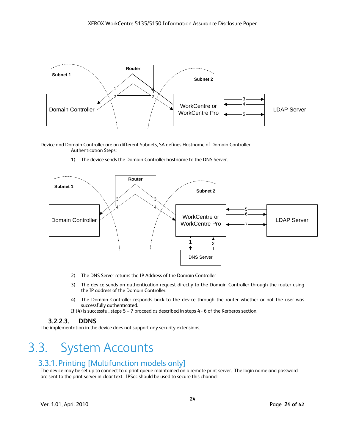

Device and Domain Controller are on different Subnets, SA defines Hostname of Domain Controller Authentication Steps:

1) The device sends the Domain Controller hostname to the DNS Server.



- 2) The DNS Server returns the IP Address of the Domain Controller
- 3) The device sends an authentication request directly to the Domain Controller through the router using the IP address of the Domain Controller.
- 4) The Domain Controller responds back to the device through the router whether or not the user was successfully authenticated.
- If (4) is successful, steps  $5 7$  proceed as described in steps  $4 6$  of the Kerberos section.

#### **3.2.2.3. DDNS**

The implementation in the device does not support any security extensions.

# 3.3. System Accounts

### 3.3.1. Printing [Multifunction models only]

The device may be set up to connect to a print queue maintained on a remote print server. The login name and password are sent to the print server in clear text. IPSec should be used to secure this channel.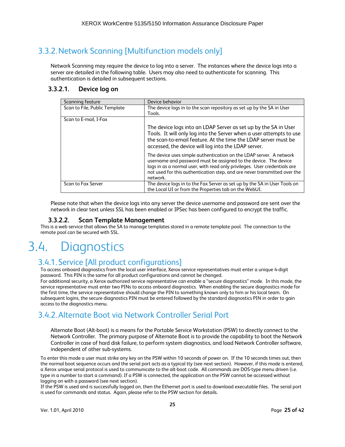# 3.3.2.Network Scanning [Multifunction models only]

Network Scanning may require the device to log into a server. The instances where the device logs into a server are detailed in the following table. Users may also need to authenticate for scanning. This authentication is detailed in subsequent sections.

#### **3.3.2.1. Device log on**

| Scanning feature              | Device behavior                                                                                                                                                                                                                                                                                               |
|-------------------------------|---------------------------------------------------------------------------------------------------------------------------------------------------------------------------------------------------------------------------------------------------------------------------------------------------------------|
| Scan to File, Public Template | The device logs in to the scan repository as set up by the SA in User                                                                                                                                                                                                                                         |
|                               | Tools.                                                                                                                                                                                                                                                                                                        |
| Scan to E-mail, I-Fax         |                                                                                                                                                                                                                                                                                                               |
|                               | The device logs into an LDAP Server as set up by the SA in User<br>Tools. It will only log into the Server when a user attempts to use<br>the scan-to-email feature. At the time the LDAP server must be<br>accessed, the device will log into the LDAP server.                                               |
|                               | The device uses simple authentication on the LDAP server. A network<br>username and password must be assigned to the device. The device<br>logs in as a normal user, with read only privileges. User credentials are<br>not used for this authentication step, and are never transmitted over the<br>network. |
| Scan to Fax Server            | The device logs in to the Fax Server as set up by the SA in User Tools on<br>the Local UI or from the Properties tab on the WebUI.                                                                                                                                                                            |

Please note that when the device logs into any server the device username and password are sent over the network in clear text unless SSL has been enabled or IPSec has been configured to encrypt the traffic.

#### **3.3.2.2. Scan Template Management**

This is a web service that allows the SA to manage templates stored in a remote template pool. The connection to the remote pool can be secured with SSL.

# 3.4. Diagnostics

## 3.4.1. Service [All product configurations]

To access onboard diagnostics from the local user interface, Xerox service representatives must enter a unique 4-digit password. This PIN is the same for all product configurations and cannot be changed.

For additional security, a Xerox authorized service representative can enable a "secure diagnostics" mode. In this mode, the service representative must enter two PINs to access onboard diagnostics. When enabling the secure diagnostics mode for the first time, the service representative should change the PIN to something known only to him or his local team. On subsequent logins, the secure diagnostics PIN must be entered followed by the standard diagnostics PIN in order to gain access to the diagnostics menu.

## 3.4.2.Alternate Boot via Network Controller Serial Port

Alternate Boot (Alt-boot) is a means for the Portable Service Workstation (PSW) to directly connect to the Network Controller. The primary purpose of Alternate Boot is to provide the capability to boot the Network Controller in case of hard disk failure, to perform system diagnostics, and load Network Controller software, independent of other sub-systems.

To enter this mode a user must strike any key on the PSW within 10 seconds of power on. If the 10 seconds times out, then the normal boot sequence occurs and the serial port acts as a typical tty (see next section). However, if this mode is entered, a Xerox unique serial protocol is used to communicate to the alt-boot code. All commands are DOS-type menu driven (i.e. type in a number to start a command). If a PSW is connected, the application on the PSW cannot be accessed without logging on with a password (see next section).

If the PSW is used and is successfully logged on, then the Ethernet port is used to download executable files. The serial port is used for commands and status. Again, please refer to the PSW section for details.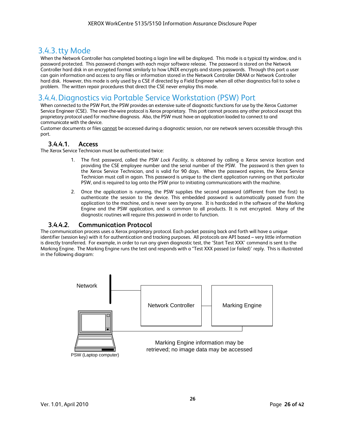## 3.4.3.tty Mode

When the Network Controller has completed booting a login line will be displayed. This mode is a typical tty window, and is password protected. This password changes with each major software release. The password is stored on the Network Controller hard disk in an encrypted format similarly to how UNIX encrypts and stores passwords. Through this port a user can gain information and access to any files or information stored in the Network Controller DRAM or Network Controller hard disk. However, this mode is only used by a CSE if directed by a Field Engineer when all other diagnostics fail to solve a problem. The written repair procedures that direct the CSE never employ this mode.

## 3.4.4.Diagnostics via Portable Service Workstation (PSW) Port

When connected to the PSW Port, the PSW provides an extensive suite of diagnostic functions for use by the Xerox Customer Service Engineer (CSE). The over-the-wire protocol is Xerox proprietary. This port cannot process any other protocol except this proprietary protocol used for machine diagnosis. Also, the PSW must have an application loaded to connect to and communicate with the device.

Customer documents or files cannot be accessed during a diagnostic session, nor are network servers accessible through this port.

### **3.4.4.1. Access**

The Xerox Service Technician must be authenticated twice:

- 1. The first password, called the *PSW Lock Facility,* is obtained by calling a Xerox service location and providing the CSE employee number and the serial number of the PSW. The password is then given to the Xerox Service Technician, and is valid for 90 days. When the password expires, the Xerox Service Technician must call in again. This password is unique to the client application running on that particular PSW, and is required to log onto the PSW prior to initiating communications with the machine.
- 2. Once the application is running, the PSW supplies the second password (different from the first) to authenticate the session to the device. This embedded password is automatically passed from the application to the machine, and is never seen by anyone. It is hardcoded in the software of the Marking Engine and the PSW application, and is common to all products. It is not encrypted. Many of the diagnostic routines will require this password in order to function.

#### **3.4.4.2. Communication Protocol**

The communication process uses a Xerox proprietary protocol. Each packet passing back and forth will have a unique identifier (session key) with it for authentication and tracking purposes. All protocols are API based – very little information is directly transferred. For example, in order to run any given diagnostic test, the 'Start Test XXX' command is sent to the Marking Engine. The Marking Engine runs the test and responds with a "Test XXX passed (or failed)' reply. This is illustrated in the following diagram:

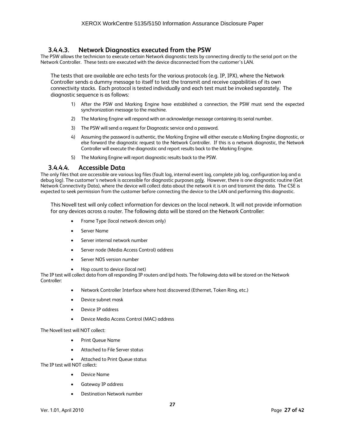#### **3.4.4.3. Network Diagnostics executed from the PSW**

The PSW allows the technician to execute certain Network diagnostic tests by connecting directly to the serial port on the Network Controller. These tests are executed with the device disconnected from the customer's LAN.

The tests that are available are echo tests for the various protocols (e.g. IP, IPX), where the Network Controller sends a dummy message to itself to test the transmit and receive capabilities of its own connectivity stacks. Each protocol is tested individually and each test must be invoked separately. The diagnostic sequence is as follows:

- 1) After the PSW and Marking Engine have established a connection, the PSW must send the expected synchronization message to the machine.
- 2) The Marking Engine will respond with an acknowledge message containing its serial number.
- 3) The PSW will send a request for Diagnostic service and a password.
- 4) Assuming the password is authentic, the Marking Engine will either execute a Marking Engine diagnostic, or else forward the diagnostic request to the Network Controller. If this is a network diagnostic, the Network Controller will execute the diagnostic and report results back to the Marking Engine.
- 5) The Marking Engine will report diagnostic results back to the PSW.

#### **3.4.4.4. Accessible Data**

The only files that are accessible are various log files (fault log, internal event log, complete job log, configuration log and a debug log). The customer's network is accessible for diagnostic purposes only. However, there is one diagnostic routine (Get Network Connectivity Data), where the device will collect data about the network it is on and transmit the data. The CSE is expected to seek permission from the customer before connecting the device to the LAN and performing this diagnostic.

This Novell test will only collect information for devices on the local network. It will not provide information for any devices across a router. The following data will be stored on the Network Controller:

- Frame Type (local network devices only)
- Server Name
- Server internal network number
- Server node (Media Access Control) address
- Server NOS version number
- Hop count to device (local net)

The IP test will collect data from all responding IP routers and lpd hosts. The following data will be stored on the Network Controller:

- Network Controller Interface where host discovered (Ethernet, Token Ring, etc.)
- Device subnet mask
- Device IP address
- Device Media Access Control (MAC) address

The Novell test will NOT collect:

- Print Queue Name
- Attached to File Server status
- Attached to Print Queue status

The IP test will NOT collect:

- Device Name
- Gateway IP address
- Destination Network number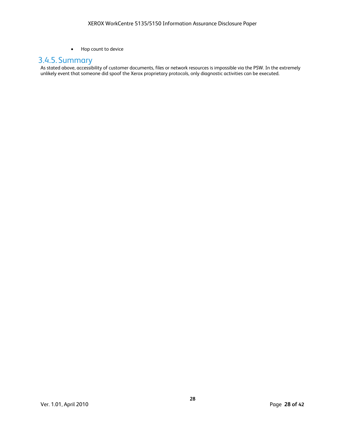• Hop count to device

### 3.4.5. Summary

As stated above, accessibility of customer documents, files or network resources is impossible via the PSW. In the extremely unlikely event that someone did spoof the Xerox proprietary protocols, only diagnostic activities can be executed.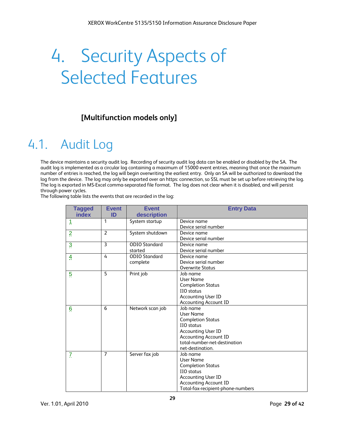# 4. Security Aspects of Selected Features

## **[Multifunction models only]**

# 4.1. Audit Log

The device maintains a security audit log. Recording of security audit log data can be enabled or disabled by the SA. The audit log is implemented as a circular log containing a maximum of 15000 event entries, meaning that once the maximum number of entries is reached, the log will begin overwriting the earliest entry. Only an SA will be authorized to download the log from the device. The log may only be exported over an https: connection, so SSL must be set up before retrieving the log. The log is exported in MS-Excel comma-separated file format. The log does not clear when it is disabled, and will persist through power cycles.

The following table lists the events that are recorded in the log:

| <b>Tagged</b>           | <b>Event</b>   | <b>Event</b>         | <b>Entry Data</b>                 |
|-------------------------|----------------|----------------------|-----------------------------------|
| index                   | ID             | description          |                                   |
| 1                       | 1              | System startup       | Device name                       |
|                         |                |                      | Device serial number              |
| $\overline{2}$          | $\overline{2}$ | System shutdown      | Device name                       |
|                         |                |                      | Device serial number              |
| $\overline{\mathbf{3}}$ | 3              | <b>ODIO</b> Standard | Device name                       |
|                         |                | started              | Device serial number              |
| 4                       | 4              | <b>ODIO</b> Standard | Device name                       |
|                         |                | complete             | Device serial number              |
|                         |                |                      | <b>Overwrite Status</b>           |
| $\overline{5}$          | 5              | Print job            | Job name                          |
|                         |                |                      | User Name                         |
|                         |                |                      | <b>Completion Status</b>          |
|                         |                |                      | IIO status                        |
|                         |                |                      | <b>Accounting User ID</b>         |
|                         |                |                      | <b>Accounting Account ID</b>      |
| 6                       | 6              | Network scan job     | Job name                          |
|                         |                |                      | User Name                         |
|                         |                |                      | <b>Completion Status</b>          |
|                         |                |                      | IIO status                        |
|                         |                |                      | <b>Accounting User ID</b>         |
|                         |                |                      | <b>Accounting Account ID</b>      |
|                         |                |                      | total-number-net-destination      |
|                         |                |                      | net-destination.                  |
| $\overline{L}$          | $\overline{7}$ | Server fax job       | Job name                          |
|                         |                |                      | <b>User Name</b>                  |
|                         |                |                      | <b>Completion Status</b>          |
|                         |                |                      | IIO status                        |
|                         |                |                      | <b>Accounting User ID</b>         |
|                         |                |                      | <b>Accounting Account ID</b>      |
|                         |                |                      | Total-fax-recipient-phone-numbers |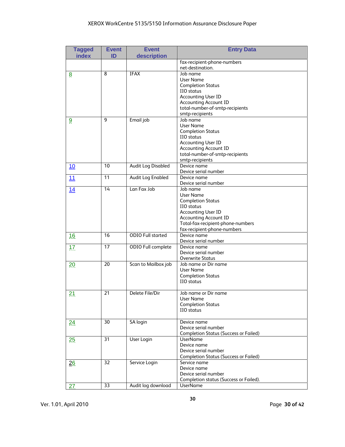### XEROX WorkCentre 5135/5150 Information Assurance Disclosure Paper

| <b>Tagged</b><br>index | <b>Event</b><br>ID | <b>Event</b><br>description | <b>Entry Data</b>                                               |
|------------------------|--------------------|-----------------------------|-----------------------------------------------------------------|
|                        |                    |                             | fax-recipient-phone-numbers                                     |
|                        |                    |                             | net-destination.                                                |
| <u>8</u>               | 8                  | <b>IFAX</b>                 | Job name                                                        |
|                        |                    |                             | User Name                                                       |
|                        |                    |                             | <b>Completion Status</b>                                        |
|                        |                    |                             | IIO status                                                      |
|                        |                    |                             | <b>Accounting User ID</b><br><b>Accounting Account ID</b>       |
|                        |                    |                             | total-number-of-smtp-recipients                                 |
|                        |                    |                             | smtp-recipients                                                 |
| 9                      | 9                  | Email job                   | Job name                                                        |
|                        |                    |                             | User Name                                                       |
|                        |                    |                             | <b>Completion Status</b>                                        |
|                        |                    |                             | <b>IIO</b> status                                               |
|                        |                    |                             | <b>Accounting User ID</b>                                       |
|                        |                    |                             | <b>Accounting Account ID</b><br>total-number-of-smtp-recipients |
|                        |                    |                             | smtp-recipients                                                 |
| <u>10</u>              | 10                 | <b>Audit Log Disabled</b>   | Device name                                                     |
|                        |                    |                             | Device serial number                                            |
| <u>11</u>              | 11                 | <b>Audit Log Enabled</b>    | Device name                                                     |
|                        |                    |                             | Device serial number                                            |
| <u>14</u>              | 14                 | Lan Fax Job                 | Job name                                                        |
|                        |                    |                             | User Name                                                       |
|                        |                    |                             | <b>Completion Status</b>                                        |
|                        |                    |                             | IIO status<br><b>Accounting User ID</b>                         |
|                        |                    |                             | <b>Accounting Account ID</b>                                    |
|                        |                    |                             | Total-fax-recipient-phone-numbers                               |
|                        |                    |                             | fax-recipient-phone-numbers                                     |
| 16                     | 16                 | <b>ODIO Full started</b>    | Device name                                                     |
|                        |                    |                             | Device serial number                                            |
| 17                     | 17                 | ODIO Full complete          | Device name                                                     |
|                        |                    |                             | Device serial number<br><b>Overwrite Status</b>                 |
| 20                     | 20                 | Scan to Mailbox job         | Job name or Dir name                                            |
|                        |                    |                             | <b>User Name</b>                                                |
|                        |                    |                             | <b>Completion Status</b>                                        |
|                        |                    |                             | IIO status                                                      |
|                        |                    |                             |                                                                 |
| 21                     | 21                 | Delete File/Dir             | Job name or Dir name                                            |
|                        |                    |                             | <b>User Name</b><br><b>Completion Status</b>                    |
|                        |                    |                             | IIO status                                                      |
|                        |                    |                             |                                                                 |
| 24                     | 30                 | SA login                    | Device name                                                     |
|                        |                    |                             | Device serial number                                            |
|                        |                    |                             | <b>Completion Status (Success or Failed)</b>                    |
| <u>25</u>              | 31                 | User Login                  | <b>UserName</b>                                                 |
|                        |                    |                             | Device name                                                     |
|                        |                    |                             | Device serial number                                            |
|                        | 32                 | Service Login               | <b>Completion Status (Success or Failed)</b><br>Service name    |
| 26                     |                    |                             | Device name                                                     |
|                        |                    |                             | Device serial number                                            |
|                        |                    |                             | Completion status (Success or Failed).                          |
| 27                     | 33                 | Audit log download          | <b>UserName</b>                                                 |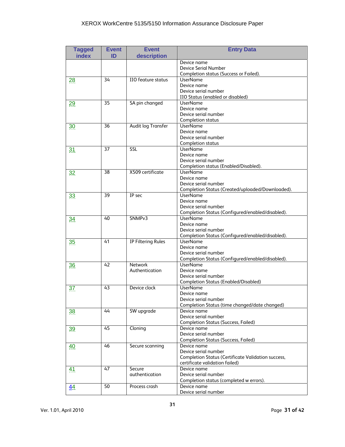### XEROX WorkCentre 5135/5150 Information Assurance Disclosure Paper

| <b>Tagged</b><br>index | <b>Event</b><br>ID | <b>Event</b><br>description      | <b>Entry Data</b>                                                                                                                  |
|------------------------|--------------------|----------------------------------|------------------------------------------------------------------------------------------------------------------------------------|
|                        |                    |                                  | Device name<br>Device Serial Number<br>Completion status (Success or Failed).                                                      |
| 28                     | 34                 | IIO feature status               | <b>UserName</b><br>Device name<br>Device serial number<br>IIO Status (enabled or disabled)                                         |
| 29                     | 35                 | SA pin changed                   | <b>UserName</b><br>Device name<br>Device serial number<br><b>Completion status</b>                                                 |
| 30                     | 36                 | Audit log Transfer               | <b>UserName</b><br>Device name<br>Device serial number<br><b>Completion status</b>                                                 |
| <u>31</u>              | 37                 | SSL                              | <b>UserName</b><br>Device name<br>Device serial number<br>Completion status (Enabled/Disabled).                                    |
| 32                     | 38                 | X509 certificate                 | <b>UserName</b><br>Device name<br>Device serial number<br>Completion Status (Created/uploaded/Downloaded).                         |
| 33                     | 39                 | $TP$ sec                         | <b>UserName</b><br>Device name<br>Device serial number<br>Completion Status (Configured/enabled/disabled).                         |
| 34                     | 40                 | SNMP <sub>v3</sub>               | <b>UserName</b><br>Device name<br>Device serial number<br>Completion Status (Configured/enabled/disabled).                         |
| 35                     | 41                 | IP Filtering Rules               | <b>UserName</b><br>Device name<br>Device serial number<br>Completion Status (Configured/enabled/disabled).                         |
| 36                     | 42                 | <b>Network</b><br>Authentication | <b>UserName</b><br>Device name<br>Device serial number<br><b>Completion Status (Enabled/Disabled)</b>                              |
| 37                     | 43                 | Device clock                     | <b>UserName</b><br>Device name<br>Device serial number<br>Completion Status (time changed/date changed)                            |
| <u>38</u>              | 44                 | SW upgrade                       | Device name<br>Device serial number<br><b>Completion Status (Success, Failed)</b>                                                  |
| 39                     | 45                 | Cloning                          | Device name<br>Device serial number<br><b>Completion Status (Success, Failed)</b>                                                  |
| <u>40</u>              | 46                 | Secure scanning                  | Device name<br>Device serial number<br><b>Completion Status (Certificate Validation success,</b><br>certificate validation failed) |
| 41                     | 47                 | Secure<br>authentication         | Device name<br>Device serial number<br>Completion status (completed w errors).                                                     |
| $\overline{44}$        | 50                 | Process crash                    | Device name<br>Device serial number                                                                                                |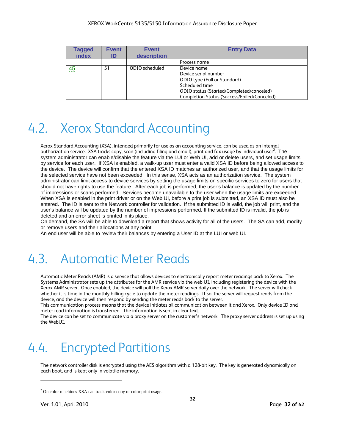| <b>Tagged</b><br>index | <b>Event</b><br>ID | <b>Event</b><br>description | <b>Entry Data</b>                                                                                                                                                                       |
|------------------------|--------------------|-----------------------------|-----------------------------------------------------------------------------------------------------------------------------------------------------------------------------------------|
|                        |                    |                             | Process name                                                                                                                                                                            |
| 45                     | 51                 | ODIO scheduled              | Device name<br>Device serial number<br>ODIO type (Full or Standard)<br>Scheduled time<br>ODIO status (Started/Completed/canceled)<br><b>Completion Status (Success/Failed/Canceled)</b> |

# 4.2. Xerox Standard Accounting

Xerox Standard Accounting (XSA), intended primarily for use as an accounting service, can be used as an internal authorization service. XSA tracks copy, scan (including filing and email), print and fax usage by individual user<sup>2</sup>. The system administrator can enable/disable the feature via the LUI or Web UI, add or delete users, and set usage limits by service for each user. If XSA is enabled, a walk-up user must enter a valid XSA ID before being allowed access to the device. The device will confirm that the entered XSA ID matches an authorized user, and that the usage limits for the selected service have not been exceeded. In this sense, XSA acts as an authorization service. The system administrator can limit access to device services by setting the usage limits on specific services to zero for users that should not have rights to use the feature. After each job is performed, the user's balance is updated by the number of impressions or scans performed. Services become unavailable to the user when the usage limits are exceeded. When XSA is enabled in the print driver or on the Web UI, before a print job is submitted, an XSA ID must also be entered. The ID is sent to the Network controller for validation. If the submitted ID is valid, the job will print, and the user's balance will be updated by the number of impressions performed. If the submitted ID is invalid, the job is deleted and an error sheet is printed in its place.

On demand, the SA will be able to download a report that shows activity for all of the users. The SA can add, modify or remove users and their allocations at any point.

An end user will be able to review their balances by entering a User ID at the LUI or web UI.

# 4.3. Automatic Meter Reads

Automatic Meter Reads (AMR) is a service that allows devices to electronically report meter readings back to Xerox. The Systems Administrator sets up the attributes for the AMR service via the web UI, including registering the device with the Xerox AMR server. Once enabled, the device will poll the Xerox AMR server daily over the network. The server will check whether it is time in the monthly billing cycle to update the meter readings. If so, the server will request reads from the device, and the device will then respond by sending the meter reads back to the server.

This communication process means that the device initiates all communication between it and Xerox. Only device ID and meter read information is transferred. The information is sent in clear text.

The device can be set to communicate via a proxy server on the customer's network. The proxy server address is set up using the WebUI.

# 4.4. Encrypted Partitions

The network controller disk is encrypted using the AES algorithm with a 128-bit key. The key is generated dynamically on each boot, and is kept only in volatile memory.

 $\overline{a}$ 

<sup>&</sup>lt;sup>2</sup> On color machines XSA can track color copy or color print usage.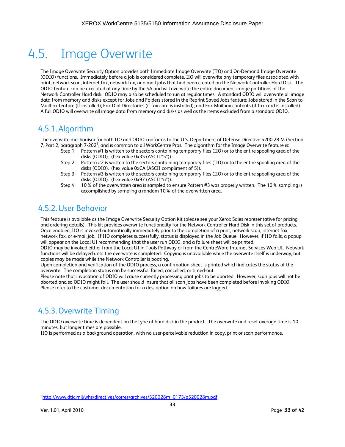# 4.5. Image Overwrite

The Image Overwrite Security Option provides both Immediate Image Overwrite (IIO) and On-Demand Image Overwrite (ODIO) functions. Immediately before a job is considered complete, IIO will overwrite any temporary files associated with print, network scan, internet fax, network fax, or e-mail jobs that had been created on the Network Controller Hard Disk. The ODIO feature can be executed at any time by the SA and will overwrite the entire document image partitions of the Network Controller Hard disk. ODIO may also be scheduled to run at regular times. A standard ODIO will overwrite all image data from memory and disks except for Jobs and Folders stored in the Reprint Saved Jobs feature; Jobs stored in the Scan to Mailbox feature (if installed); Fax Dial Directories (if fax card is installed); and Fax Mailbox contents (if fax card is installed). A full ODIO will overwrite all image data from memory and disks as well as the items excluded from a standard ODIO.

### 4.5.1.Algorithm

The overwrite mechanism for both IIO and ODIO conforms to the U.S. Department of Defense Directive 5200.28-M (Section 7, Part 2, paragraph 7-202 $^3$ , and is common to all WorkCentre Pros. The algorithm for the Image Overwrite feature is:

- Step 1: Pattern #1 is written to the sectors containing temporary files (IIO) or to the entire spooling area of the disks (ODIO). (hex value 0x35 (ASCII "5")).
- Step 2: Pattern #2 is written to the sectors containing temporary files (IIO) or to the entire spooling area of the disks (ODIO). (hex value 0xCA (ASCII compliment of 5)).
- Step 3: Pattern #3 is written to the sectors containing temporary files (IIO) or to the entire spooling area of the disks (ODIO). (hex value 0x97 (ASCII "ú")).
- Step 4: 10% of the overwritten area is sampled to ensure Pattern #3 was properly written. The 10% sampling is accomplished by sampling a random 10% of the overwritten area.

### 4.5.2.User Behavior

This feature is available as the Image Overwrite Security Option Kit (please see your Xerox Sales representative for pricing and ordering details). This kit provides overwrite functionality for the Network Controller Hard Disk in this set of products. Once enabled, IIO is invoked automatically immediately prior to the completion of a print, network scan, internet fax, network fax, or e-mail job. If IIO completes successfully, status is displayed in the Job Queue. However, if IIO fails, a popup will appear on the Local UI recommending that the user run ODIO, and a failure sheet will be printed.

ODIO may be invoked either from the Local UI in Tools Pathway or from the CentreWare Internet Services Web UI. Network functions will be delayed until the overwrite is completed. Copying is unavailable while the overwrite itself is underway, but copies may be made while the Network Controller is booting.

Upon completion and verification of the ODIO process, a confirmation sheet is printed which indicates the status of the overwrite. The completion status can be successful, failed, cancelled, or timed-out.

Please note that invocation of ODIO will cause currently processing print jobs to be aborted. However, scan jobs will not be aborted and so ODIO might fail. The user should insure that all scan jobs have been completed before invoking ODIO. Please refer to the customer documentation for a description on how failures are logged.

# 4.5.3.Overwrite Timing

The ODIO overwrite time is dependent on the type of hard disk in the product. The overwrite and reset average time is 10 minutes, but longer times are possible.

IIO is performed as a background operation, with no user-perceivable reduction in copy, print or scan performance.

 $\overline{a}$ 

<sup>&</sup>lt;sup>3</sup>http://www.dtic.mil/whs/directives/corres/archives/520028m\_0173/p520028m.pdf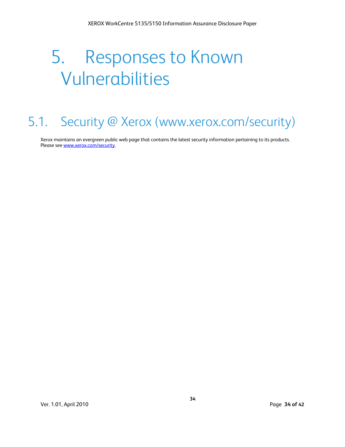# 5. Responses to Known Vulnerabilities

# 5.1. Security @ Xerox (www.xerox.com/security)

Xerox maintains an evergreen public web page that contains the latest security information pertaining to its products. Please see www.xerox.com/security.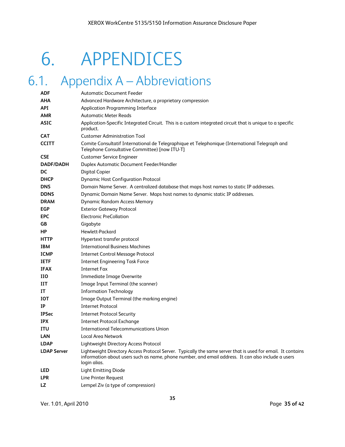# 6. APPENDICES

# 6.1. Appendix A – Abbreviations

| ADF                | <b>Automatic Document Feeder</b>                                                                                                                                                                                                  |
|--------------------|-----------------------------------------------------------------------------------------------------------------------------------------------------------------------------------------------------------------------------------|
| <b>AHA</b>         | Advanced Hardware Architecture, a proprietary compression                                                                                                                                                                         |
| <b>API</b>         | <b>Application Programming Interface</b>                                                                                                                                                                                          |
| <b>AMR</b>         | <b>Automatic Meter Reads</b>                                                                                                                                                                                                      |
| <b>ASIC</b>        | Application-Specific Integrated Circuit. This is a custom integrated circuit that is unique to a specific<br>product.                                                                                                             |
| <b>CAT</b>         | <b>Customer Administration Tool</b>                                                                                                                                                                                               |
| <b>CCITT</b>       | Comite Consultatif International de Telegraphique et Telephonique (International Telegraph and<br>Telephone Consultative Committee) [now ITU-T]                                                                                   |
| <b>CSE</b>         | <b>Customer Service Engineer</b>                                                                                                                                                                                                  |
| <b>DADF/DADH</b>   | <b>Duplex Automatic Document Feeder/Handler</b>                                                                                                                                                                                   |
| DC                 | Digital Copier                                                                                                                                                                                                                    |
| <b>DHCP</b>        | <b>Dynamic Host Configuration Protocol</b>                                                                                                                                                                                        |
| <b>DNS</b>         | Domain Name Server. A centralized database that maps host names to static IP addresses.                                                                                                                                           |
| <b>DDNS</b>        | Dynamic Domain Name Server. Maps host names to dynamic static IP addresses.                                                                                                                                                       |
| <b>DRAM</b>        | <b>Dynamic Random Access Memory</b>                                                                                                                                                                                               |
| <b>EGP</b>         | <b>Exterior Gateway Protocol</b>                                                                                                                                                                                                  |
| <b>EPC</b>         | <b>Electronic PreCollation</b>                                                                                                                                                                                                    |
| GB                 | Gigabyte                                                                                                                                                                                                                          |
| <b>HP</b>          | Hewlett-Packard                                                                                                                                                                                                                   |
| <b>HTTP</b>        | Hypertext transfer protocol                                                                                                                                                                                                       |
| <b>IBM</b>         | <b>International Business Machines</b>                                                                                                                                                                                            |
| <b>ICMP</b>        | <b>Internet Control Message Protocol</b>                                                                                                                                                                                          |
| <b>IETF</b>        | <b>Internet Engineering Task Force</b>                                                                                                                                                                                            |
| <b>IFAX</b>        | <b>Internet Fax</b>                                                                                                                                                                                                               |
| <b>IIO</b>         | Immediate Image Overwrite                                                                                                                                                                                                         |
| ШT                 | Image Input Terminal (the scanner)                                                                                                                                                                                                |
| IT                 | <b>Information Technology</b>                                                                                                                                                                                                     |
| <b>IOT</b>         | Image Output Terminal (the marking engine)                                                                                                                                                                                        |
| IP                 | <b>Internet Protocol</b>                                                                                                                                                                                                          |
| <b>IPSec</b>       | <b>Internet Protocol Security</b>                                                                                                                                                                                                 |
| <b>IPX</b>         | <b>Internet Protocol Exchange</b>                                                                                                                                                                                                 |
| ITU                | <b>International Telecommunications Union</b>                                                                                                                                                                                     |
| LAN                | <b>Local Area Network</b>                                                                                                                                                                                                         |
| <b>LDAP</b>        | Lightweight Directory Access Protocol                                                                                                                                                                                             |
| <b>LDAP Server</b> | Lightweight Directory Access Protocol Server. Typically the same server that is used for email. It contains<br>information about users such as name, phone number, and email address. It can also include a users<br>login alias. |
| LED                | <b>Light Emitting Diode</b>                                                                                                                                                                                                       |
| <b>LPR</b>         | Line Printer Request                                                                                                                                                                                                              |
| <b>LZ</b>          | Lempel Ziv (a type of compression)                                                                                                                                                                                                |
|                    |                                                                                                                                                                                                                                   |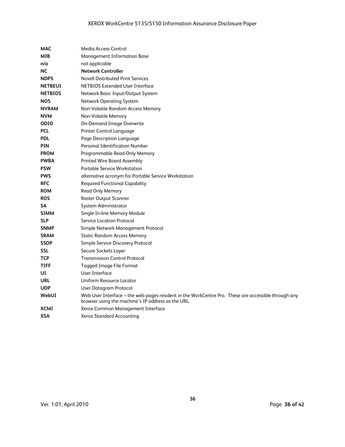| MAC            | Media Access Control                                                                                                                                      |
|----------------|-----------------------------------------------------------------------------------------------------------------------------------------------------------|
| <b>MIB</b>     | <b>Management Information Base</b>                                                                                                                        |
| n/a            | not applicable                                                                                                                                            |
| <b>NC</b>      | <b>Network Controller</b>                                                                                                                                 |
| <b>NDPS</b>    | <b>Novell Distributed Print Services</b>                                                                                                                  |
| <b>NETBEUI</b> | NETBIOS Extended User Interface                                                                                                                           |
| <b>NETBIOS</b> | Network Basic Input/Output System                                                                                                                         |
| NOS            | <b>Network Operating System</b>                                                                                                                           |
| <b>NVRAM</b>   | Non-Volatile Random Access Memory                                                                                                                         |
| <b>NVM</b>     | <b>Non-Volatile Memory</b>                                                                                                                                |
| <b>ODIO</b>    | <b>On-Demand Image Overwrite</b>                                                                                                                          |
| <b>PCL</b>     | <b>Printer Control Language</b>                                                                                                                           |
| <b>PDL</b>     | Page Description Language                                                                                                                                 |
| <b>PIN</b>     | <b>Personal Identification Number</b>                                                                                                                     |
| <b>PROM</b>    | Programmable Read-Only Memory                                                                                                                             |
| <b>PWBA</b>    | <b>Printed Wire Board Assembly</b>                                                                                                                        |
| <b>PSW</b>     | <b>Portable Service Workstation</b>                                                                                                                       |
| <b>PWS</b>     | alternative acronym for Portable Service Workstation                                                                                                      |
| <b>RFC</b>     | <b>Required Functional Capability</b>                                                                                                                     |
| <b>ROM</b>     | Read Only Memory                                                                                                                                          |
| <b>ROS</b>     | <b>Raster Output Scanner</b>                                                                                                                              |
| SΑ             | System Administrator                                                                                                                                      |
| <b>SIMM</b>    | Single In-line Memory Module                                                                                                                              |
| <b>SLP</b>     | <b>Service Location Protocol</b>                                                                                                                          |
| <b>SNMP</b>    | Simple Network Management Protocol                                                                                                                        |
| <b>SRAM</b>    | <b>Static Random Access Memory</b>                                                                                                                        |
| <b>SSDP</b>    | Simple Service Discovery Protocol                                                                                                                         |
| <b>SSL</b>     | Secure Sockets Layer                                                                                                                                      |
| <b>TCP</b>     | <b>Transmission Control Protocol</b>                                                                                                                      |
| TIFF           | Tagged Image File Format                                                                                                                                  |
| UI             | User Interface                                                                                                                                            |
| <b>URL</b>     | Uniform Resource Locator                                                                                                                                  |
| <b>UDP</b>     | User Datagram Protocol                                                                                                                                    |
| WebUI          | Web User Interface - the web pages resident in the WorkCentre Pro. These are accessible through any<br>browser using the machine's IP address as the URL. |
| XCMI           | Xerox Common Management Interface                                                                                                                         |
| <b>XSA</b>     | Xerox Standard Accounting                                                                                                                                 |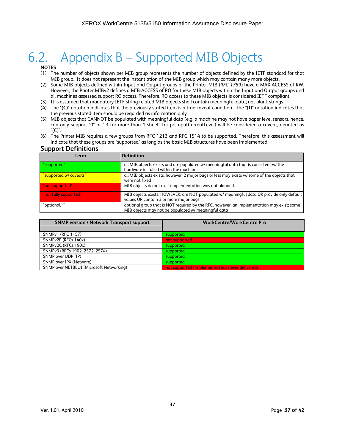# 6.2. Appendix B – Supported MIB Objects

#### **NOTES :**

- (1) The number of objects shown per MIB group represents the number of objects defined by the IETF standard for that MIB group. It does not represent the instantiation of the MIB group which may contain many more objects.
- (2) Some MIB objects defined within Input and Output groups of the Printer MIB (*RFC 1759*) have a MAX-ACCESS of RW. However, the Printer MIBv2 defines a MIB-ACCESS of RO for these MIB objects within the Input and Output groups and all machines assessed support RO access. Therefore, RO access to these MIB objects is considered IETF compliant.
- (3) It is assumed that mandatory IETF string-related MIB objects shall contain meaningful data; not blank strings
- (4) The "**(C)**" notation indicates that the previously stated item is a true caveat condition. The "**(I)**" notation indicates that the previous stated item should be regarded as information only.
- (5) MIB objects that CANNOT be populated with meaningful data (e.g. a machine may not have paper level sensors, hence, can only support "0" or "-3 for more than 1 sheet" for prtInputCurrentLevel) will be considered a caveat, denoted as "(C)".
- (6) The Printer MIB requires a few groups from RFC 1213 and RFC 1514 to be supported. Therefore, this assessment will indicate that these groups are "supported" as long as the basic MIB structures have been implemented.

#### **Support Definitions**

| Term                   | Definition                                                                                                                                        |
|------------------------|---------------------------------------------------------------------------------------------------------------------------------------------------|
| "supported"            | all MIB objects exists and are populated w/ meaningful data that is consistent w/ the<br>hardware installed within the machine.                   |
| "supported w/ caveats" | all MIB objects exists, however, 2 major bugs or less may exists w/ some of the objects that<br>were not fixed                                    |
| "not supported"        | MIB objects do not exist/implementation was not planned                                                                                           |
| "not fully supported"  | MIB objects exists, HOWEVER, are NOT populated w/ meaningful data OR provide only default<br>values OR contain 3 or more major bugs               |
| "optional, *"          | optional group that is NOT required by the RFC, however, an implementation may exist; some<br>MIB objects may not be populated w/ meaningful data |

| <b>SNMP version / Network Transport support</b> | <b>WorkCentre/WorkCentre Pro</b>                |
|-------------------------------------------------|-------------------------------------------------|
| <b>SNMPv1 (RFC 1157)</b>                        | supported                                       |
| SNMPv2P (RFCs 140x)                             | not supported                                   |
| SNMPv2C (RFCs 190x)                             | supported                                       |
| SNMPv3 (RFCs 1902, 2572, 2574)                  | supported                                       |
| SNMP over UDP (IP)                              | supported                                       |
| SNMP over IPX (Netware)                         | supported                                       |
| SNMP over NETBEUI (Microsoft Networking)        | not supported (implemented but never delivered) |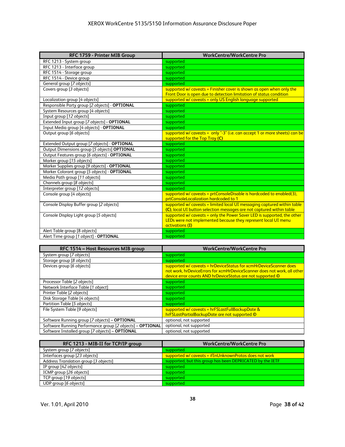| RFC 1759 - Printer MIB Group                   | <b>WorkCentre/WorkCentre Pro</b>                                           |
|------------------------------------------------|----------------------------------------------------------------------------|
| RFC 1213 - System group                        | supported                                                                  |
| RFC 1213 - Interface group                     | supported                                                                  |
| RFC 1514 - Storage group                       | supported                                                                  |
| RFC 1514 - Device group                        | supported                                                                  |
| General group [7 objects]                      | supported                                                                  |
| Covers group [3 objects]                       | supported w/ caveats = Finisher cover is shown as open when only the       |
|                                                | Front Door is open due to detection limitation of status condition         |
| Localization group [4 objects]                 | supported w/ caveats = only US English language supported                  |
| Responsible Party group [2 objects] - OPTIONAL | supported                                                                  |
| System Resources group [4 objects]             | supported                                                                  |
| Input group [12 objects]                       | supported                                                                  |
| Extended Input group [7 objects] - OPTIONAL    | supported                                                                  |
| Input Media group [4 objects] - OPTIONAL       | supported                                                                  |
| Output group [6 objects]                       | supported w/ caveats = only "-3" (i.e. can accept 1 or more sheets) can be |
|                                                | supported for the Top Tray (C)                                             |
| Extended Output group [7 objects] - OPTIONAL   | supported                                                                  |
| Output Dimensions group [5 objects] OPTIONAL   | supported                                                                  |
| Output Features group [6 objects] - OPTIONAL   | supported                                                                  |
| Marker group [15 objects]                      | supported                                                                  |
| Marker Supplies group [9 objects] - OPTIONAL   | supported                                                                  |
| Marker Colorant group [5 objects] - OPTIONAL   | supported                                                                  |
| Media Path group [11 objects]                  | supported                                                                  |
| Channels group [8 objects]                     | supported                                                                  |
| Interpreter group [12 objects]                 | supported                                                                  |
| Console group [4 objects]                      | supported w/ caveats = prtConsoleDisable is hardcoded to enabled(3),       |
|                                                | prtConsoleLocalization hardcoded to 1                                      |
| Console Display Buffer group [2 objects]       | supported w/ caveats = limited local UI messaging captured within table    |
|                                                | (C), local UI button selection messages are not captured within table      |
| Console Display Light group [5 objects]        | supported w/ caveats = only the Power Saver LED is supported, the other    |
|                                                | LEDs were not implemented because they represent local UI menu             |
|                                                | activations (I)                                                            |
| Alert Table group [8 objects]                  | supported                                                                  |
| Alert Time group [1 object] - OPTIONAL         | supported                                                                  |

| RFC 1514 - Host Resources MIB group                       | <b>WorkCentre/WorkCentre Pro</b>                                                                                                                                                                            |
|-----------------------------------------------------------|-------------------------------------------------------------------------------------------------------------------------------------------------------------------------------------------------------------|
| System group [7 objects]                                  | supported                                                                                                                                                                                                   |
| Storage group [8 objects]                                 | supported                                                                                                                                                                                                   |
| Devices group [6 objects]                                 | supported w/ caveats = hrDeviceStatus for xcmHrDeviceScanner does<br>not work, hrDeviceErrors for xcmHrDeviceScanner does not work, all other<br>device error counts AND hrDeviceStatus are not supported © |
| Processor Table [2 objects]                               | supported                                                                                                                                                                                                   |
| Network Interface Table [1 object]                        | supported                                                                                                                                                                                                   |
| Printer Table [2 objects]                                 | supported                                                                                                                                                                                                   |
| Disk Storage Table [4 objects]                            | supported                                                                                                                                                                                                   |
| Partition Table [5 objects]                               | supported                                                                                                                                                                                                   |
| File System Table [9 objects]                             | supported w/ caveats = hrFSLastFullBackupDate &<br>hrFSLastPartialBackupDate are not supported ©                                                                                                            |
| Software Running group [7 objects] - OPTIONAL             | optional, not supported                                                                                                                                                                                     |
| Software Running Performance group [2 objects] - OPTIONAL | optional, not supported                                                                                                                                                                                     |
| Software Installed group [7 objects] - OPTIONAL           | optional, not supported                                                                                                                                                                                     |

| RFC 1213 - MIB-II for TCP/IP group    | <b>WorkCentre/WorkCentre Pro</b>                          |
|---------------------------------------|-----------------------------------------------------------|
| System group [7 objects]              | supported                                                 |
| Interfaces group [23 objects]         | supported w/ caveats = ifInUnknownProtos does not work    |
| Address Translation group [3 objects] | supported, but this group has been DEPRICATED by the IETF |
| IP group [42 objects]                 | supported                                                 |
| ICMP group [26 objects]               | supported                                                 |
| TCP group [19 objects]                | supported                                                 |
| UDP group [6 objects]                 | supported                                                 |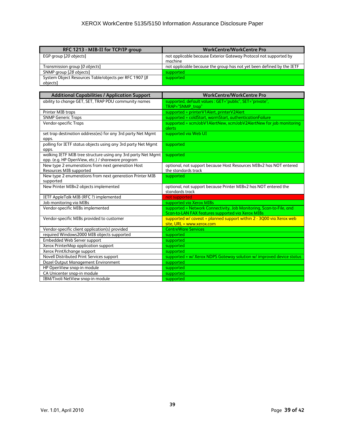| RFC 1213 - MIB-II for TCP/IP group                     | <b>WorkCentre/WorkCentre Pro</b>                                             |
|--------------------------------------------------------|------------------------------------------------------------------------------|
| EGP group [20 objects]                                 | not applicable because Exterior Gateway Protocol not supported by<br>machine |
|                                                        |                                                                              |
| Transmission group [0 objects]                         | not applicable because the group has not yet been defined by the IETF        |
| SNMP group [28 objects]                                | supported                                                                    |
| System Object Resources Table/objects per RFC 1907 [8] | supported                                                                    |
| objects]                                               |                                                                              |

| <b>Additional Capabilities / Application Support</b>                                                              | <b>WorkCentre/WorkCentre Pro</b>                                                                                         |  |  |  |  |
|-------------------------------------------------------------------------------------------------------------------|--------------------------------------------------------------------------------------------------------------------------|--|--|--|--|
| ability to change GET, SET, TRAP PDU community names                                                              | supported, default values : GET="public", SET="private",<br>TRAP="SNMP_trap"                                             |  |  |  |  |
| Printer MIB traps                                                                                                 | supported = printerV1Alert, printerV2Alert                                                                               |  |  |  |  |
| <b>SNMP Generic Traps</b>                                                                                         | supported = coldStart, warmStart, authenticationFailure                                                                  |  |  |  |  |
| Vendor-specific Traps                                                                                             | supported = xcmJobV1AlertNew, xcmJobV2AlertNew for job monitoring<br>alerts                                              |  |  |  |  |
| set trap destination address(es) for any 3rd party Net Mgmt<br>apps.                                              | supported via Web UI                                                                                                     |  |  |  |  |
| polling for IETF status objects using any 3rd party Net Mgmt<br>apps.                                             | supported                                                                                                                |  |  |  |  |
| walking IETF MIB tree structure using any 3rd party Net Mgmt<br>app. (e.g. HP OpenView, etc.) / shareware program | supported                                                                                                                |  |  |  |  |
| New type 2 enumerations from next generation Host<br>Resources MIB supported                                      | optional, not support because Host Resources MIBv2 has NOT entered<br>the standards track                                |  |  |  |  |
| New type 2 enumerations from next generation Printer MIB<br>supported                                             | supported                                                                                                                |  |  |  |  |
| New Printer MIBv2 objects implemented                                                                             | optional, not support because Printer MIBv2 has NOT entered the<br>standards track                                       |  |  |  |  |
| IETF AppleTalk MIB (RFC ?) implemented                                                                            | not supported                                                                                                            |  |  |  |  |
| Job monitoring via MIBs                                                                                           | supported via Xerox MIBs                                                                                                 |  |  |  |  |
| Vendor-specific MIBs implemented                                                                                  | supported = Network Connectivity, Job Monitoring, Scan-to-File, and<br>Scan-to-LAN FAX features supported via Xerox MIBs |  |  |  |  |
| Vendor-specific MIBs provided to customer                                                                         | supported $w/$ caveat = planned support within $2 - 3000$ via Xerox web<br>site, URL = www.xerox.com                     |  |  |  |  |
| Vendor-specific client application(s) provided                                                                    | <b>CentreWare Services</b>                                                                                               |  |  |  |  |
| required Windows2000 MIB objects supported                                                                        | supported                                                                                                                |  |  |  |  |
| Embedded Web Server support                                                                                       | supported                                                                                                                |  |  |  |  |
| Xerox PrinterMap application support                                                                              | supported                                                                                                                |  |  |  |  |
| Xerox PrintXchange support                                                                                        | supported                                                                                                                |  |  |  |  |
| Novell Distributed Print Services support                                                                         | supported = w/ Xerox NDPS Gateway solution w/ improved device status                                                     |  |  |  |  |
| Dazel Output Management Environment                                                                               | supported                                                                                                                |  |  |  |  |
| HP OpenView snap-in module                                                                                        | supported                                                                                                                |  |  |  |  |
| CA Unicenter snap-in module                                                                                       | supported                                                                                                                |  |  |  |  |
| IBM/Tivoli NetView snap-in module                                                                                 | supported                                                                                                                |  |  |  |  |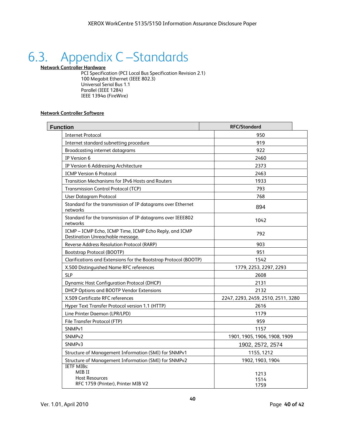# 6.3. Appendix C –Standards

**Network Controller Hardware**

PCI Specification (PCI Local Bus Specification Revision 2.1) 100 Megabit Ethernet (IEEE 802.3) Universal Serial Bus 1.1 Parallel (IEEE 1284) IEEE 1394a (FireWire)

#### **Network Controller Software**

| <b>Function</b>                                                                            | <b>RFC/Standard</b>                |  |
|--------------------------------------------------------------------------------------------|------------------------------------|--|
| <b>Internet Protocol</b>                                                                   | 950                                |  |
| Internet standard subnetting procedure                                                     | 919                                |  |
| <b>Broadcasting internet datagrams</b>                                                     | 922                                |  |
| IP Version 6                                                                               | 2460                               |  |
| IP Version 6 Addressing Architecture                                                       | 2373                               |  |
| <b>ICMP Version 6 Protocol</b>                                                             | 2463                               |  |
| Transition Mechanisms for IPv6 Hosts and Routers                                           | 1933                               |  |
| <b>Transmission Control Protocol (TCP)</b>                                                 | 793                                |  |
| <b>User Datagram Protocol</b>                                                              | 768                                |  |
| Standard for the transmission of IP datagrams over Ethernet<br>networks                    | 894                                |  |
| Standard for the transmission of IP datagrams over IEEE802<br>networks                     | 1042                               |  |
| ICMP - ICMP Echo, ICMP Time, ICMP Echo Reply, and ICMP<br>Destination Unreachable message. | 792                                |  |
| Reverse Address Resolution Protocol (RARP)                                                 | 903                                |  |
| Bootstrap Protocol (BOOTP)                                                                 | 951                                |  |
| Clarifications and Extensions for the Bootstrap Protocol (BOOTP)                           | 1542                               |  |
| X.500 Distinguished Name RFC references                                                    | 1779, 2253, 2297, 2293             |  |
| <b>SLP</b>                                                                                 | 2608                               |  |
| <b>Dynamic Host Configuration Protocol (DHCP)</b>                                          | 2131                               |  |
| DHCP Options and BOOTP Vendor Extensions                                                   | 2132                               |  |
| X.509 Certificate RFC references                                                           | 2247, 2293, 2459, 2510, 2511, 3280 |  |
| Hyper Text Transfer Protocol version 1.1 (HTTP)                                            | 2616                               |  |
| Line Printer Daemon (LPR/LPD)                                                              | 1179                               |  |
| File Transfer Protocol (FTP)                                                               | 959                                |  |
| SNMP <sub>v1</sub>                                                                         | 1157                               |  |
| SNMP <sub>v2</sub>                                                                         | 1901, 1905, 1906, 1908, 1909       |  |
| SNMP <sub>v3</sub>                                                                         | 1902, 2572, 2574                   |  |
| Structure of Management Information (SMI) for SNMPv1                                       | 1155, 1212                         |  |
| Structure of Management Information (SMI) for SNMPv2                                       | 1902, 1903, 1904                   |  |
| <b>IETF MIBs:</b><br>MIB II<br><b>Host Resources</b><br>RFC 1759 (Printer), Printer MIB V2 | 1213<br>1514<br>1759               |  |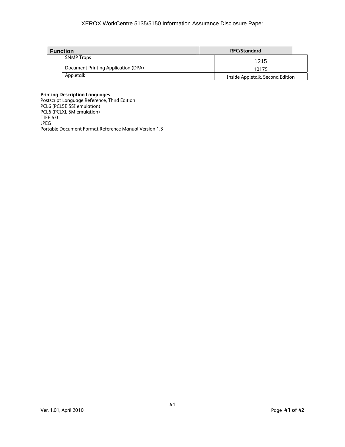#### XEROX WorkCentre 5135/5150 Information Assurance Disclosure Paper

| <b>Function</b> |                                     | <b>RFC/Standard</b>              |  |
|-----------------|-------------------------------------|----------------------------------|--|
|                 | <b>SNMP Traps</b>                   | 1215                             |  |
|                 | Document Printing Application (DPA) | 10175                            |  |
|                 | Appletalk                           | Inside Appletalk, Second Edition |  |

#### **Printing Description Languages**

Postscript Language Reference, Third Edition PCL6 (PCL5E 5SI emulation) PCL6 (PCLXL 5M emulation) TIFF 6.0 JPEG Portable Document Format Reference Manual Version 1.3